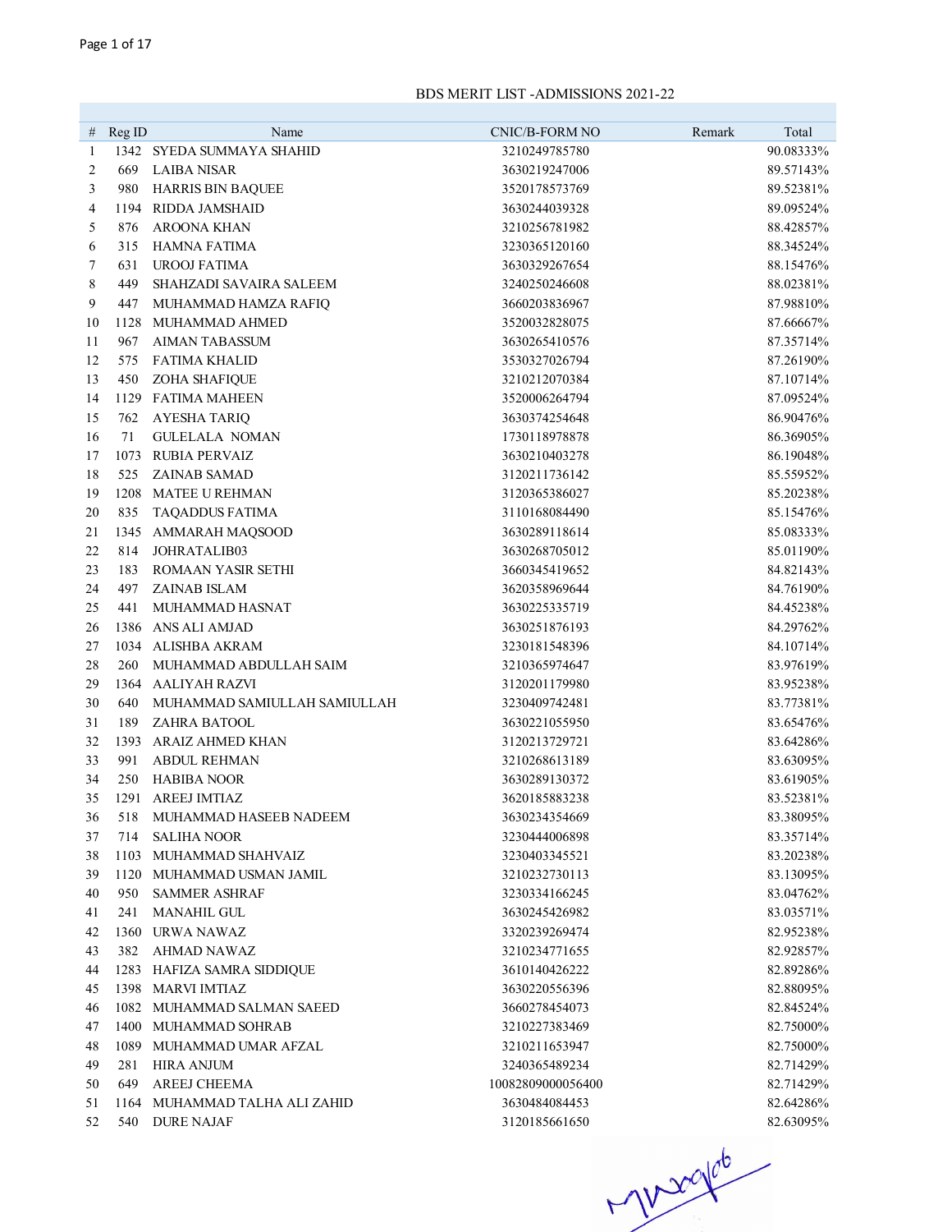| #  | Reg ID | Name                          | CNIC/B-FORM NO    | Remark | Total     |
|----|--------|-------------------------------|-------------------|--------|-----------|
| 1  |        | 1342 SYEDA SUMMAYA SHAHID     | 3210249785780     |        | 90.08333% |
| 2  | 669    | <b>LAIBA NISAR</b>            | 3630219247006     |        | 89.57143% |
| 3  | 980    | <b>HARRIS BIN BAQUEE</b>      | 3520178573769     |        | 89.52381% |
| 4  | 1194   | RIDDA JAMSHAID                | 3630244039328     |        | 89.09524% |
| 5  | 876    | <b>AROONA KHAN</b>            | 3210256781982     |        | 88.42857% |
| 6  | 315    | <b>HAMNA FATIMA</b>           | 3230365120160     |        | 88.34524% |
| 7  | 631    | <b>UROOJ FATIMA</b>           | 3630329267654     |        | 88.15476% |
| 8  | 449    | SHAHZADI SAVAIRA SALEEM       | 3240250246608     |        | 88.02381% |
| 9  | 447    | MUHAMMAD HAMZA RAFIQ          | 3660203836967     |        | 87.98810% |
| 10 | 1128   | MUHAMMAD AHMED                | 3520032828075     |        | 87.66667% |
| 11 | 967    | <b>AIMAN TABASSUM</b>         | 3630265410576     |        | 87.35714% |
| 12 | 575    | <b>FATIMA KHALID</b>          | 3530327026794     |        | 87.26190% |
| 13 | 450    | ZOHA SHAFIQUE                 | 3210212070384     |        | 87.10714% |
| 14 | 1129   | <b>FATIMA MAHEEN</b>          | 3520006264794     |        | 87.09524% |
| 15 | 762    | <b>AYESHA TARIQ</b>           | 3630374254648     |        | 86.90476% |
| 16 | 71     | <b>GULELALA NOMAN</b>         | 1730118978878     |        | 86.36905% |
| 17 | 1073   | <b>RUBIA PERVAIZ</b>          | 3630210403278     |        | 86.19048% |
| 18 | 525    | <b>ZAINAB SAMAD</b>           | 3120211736142     |        | 85.55952% |
| 19 | 1208   | <b>MATEE U REHMAN</b>         | 3120365386027     |        | 85.20238% |
| 20 | 835    | TAQADDUS FATIMA               | 3110168084490     |        | 85.15476% |
| 21 | 1345   | AMMARAH MAQSOOD               | 3630289118614     |        | 85.08333% |
| 22 | 814    | JOHRATALIB03                  | 3630268705012     |        | 85.01190% |
| 23 | 183    | <b>ROMAAN YASIR SETHI</b>     | 3660345419652     |        | 84.82143% |
| 24 | 497    | ZAINAB ISLAM                  | 3620358969644     |        | 84.76190% |
| 25 | 441    | MUHAMMAD HASNAT               | 3630225335719     |        | 84.45238% |
| 26 | 1386   | ANS ALI AMJAD                 | 3630251876193     |        | 84.29762% |
| 27 |        | 1034 ALISHBA AKRAM            | 3230181548396     |        | 84.10714% |
| 28 | 260    | MUHAMMAD ABDULLAH SAIM        | 3210365974647     |        | 83.97619% |
| 29 | 1364   | AALIYAH RAZVI                 | 3120201179980     |        | 83.95238% |
| 30 | 640    | MUHAMMAD SAMIULLAH SAMIULLAH  | 3230409742481     |        | 83.77381% |
| 31 | 189    | <b>ZAHRA BATOOL</b>           | 3630221055950     |        | 83.65476% |
| 32 | 1393   | <b>ARAIZ AHMED KHAN</b>       | 3120213729721     |        | 83.64286% |
| 33 | 991    | <b>ABDUL REHMAN</b>           | 3210268613189     |        | 83.63095% |
| 34 | 250    | <b>HABIBA NOOR</b>            | 3630289130372     |        | 83.61905% |
| 35 | 1291   | <b>AREEJ IMTIAZ</b>           | 3620185883238     |        | 83.52381% |
| 36 | 518    | MUHAMMAD HASEEB NADEEM        | 3630234354669     |        | 83.38095% |
| 37 | 714    | <b>SALIHA NOOR</b>            | 3230444006898     |        | 83.35714% |
| 38 | 1103   | MUHAMMAD SHAHVAIZ             | 3230403345521     |        | 83.20238% |
| 39 | 1120   | MUHAMMAD USMAN JAMIL          | 3210232730113     |        | 83.13095% |
| 40 | 950    | <b>SAMMER ASHRAF</b>          | 3230334166245     |        | 83.04762% |
| 41 | 241    | <b>MANAHIL GUL</b>            | 3630245426982     |        | 83.03571% |
| 42 | 1360   | URWA NAWAZ                    | 3320239269474     |        | 82.95238% |
| 43 | 382    | AHMAD NAWAZ                   | 3210234771655     |        | 82.92857% |
| 44 |        | 1283 HAFIZA SAMRA SIDDIQUE    | 3610140426222     |        | 82.89286% |
| 45 |        | 1398 MARVI IMTIAZ             | 3630220556396     |        | 82.88095% |
| 46 |        | 1082 MUHAMMAD SALMAN SAEED    | 3660278454073     |        | 82.84524% |
| 47 |        | 1400 MUHAMMAD SOHRAB          | 3210227383469     |        | 82.75000% |
| 48 |        | 1089 MUHAMMAD UMAR AFZAL      | 3210211653947     |        | 82.75000% |
| 49 | 281    | <b>HIRA ANJUM</b>             | 3240365489234     |        | 82.71429% |
| 50 | 649    | AREEJ CHEEMA                  | 10082809000056400 |        | 82.71429% |
| 51 |        | 1164 MUHAMMAD TALHA ALI ZAHID | 3630484084453     |        | 82.64286% |
| 52 |        | 540 DURE NAJAF                | 3120185661650     |        | 82.63095% |

 $-1000000$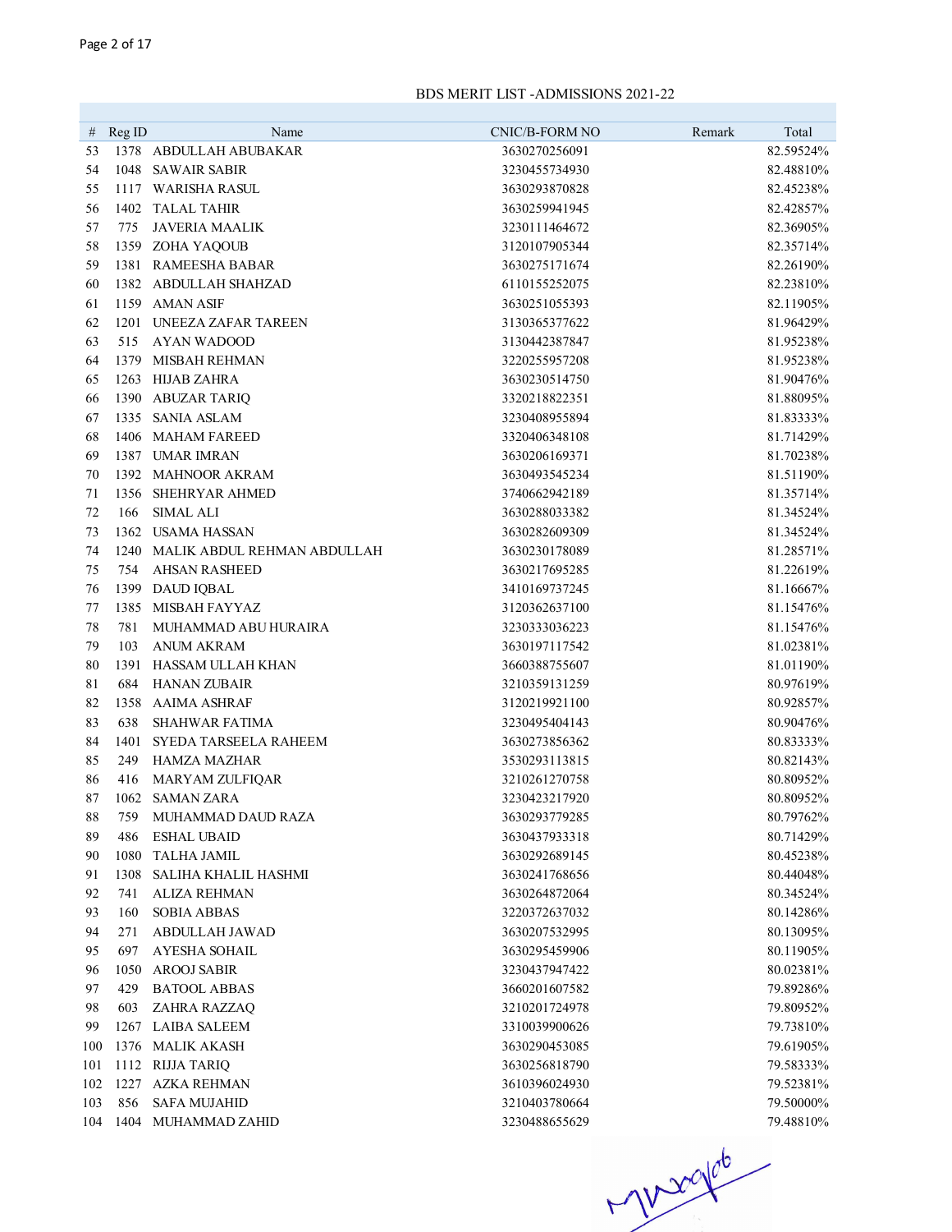| #        | Reg ID | Name                         | <b>CNIC/B-FORM NO</b> | Remark | Total     |
|----------|--------|------------------------------|-----------------------|--------|-----------|
| 53       |        | 1378 ABDULLAH ABUBAKAR       | 3630270256091         |        | 82.59524% |
| 54       |        | 1048 SAWAIR SABIR            | 3230455734930         |        | 82.48810% |
| 55       |        | 1117 WARISHA RASUL           | 3630293870828         |        | 82.45238% |
| 56       |        | 1402 TALAL TAHIR             | 3630259941945         |        | 82.42857% |
| 57       | 775    | <b>JAVERIA MAALIK</b>        | 3230111464672         |        | 82.36905% |
| 58       |        | 1359 ZOHA YAQOUB             | 3120107905344         |        | 82.35714% |
| 59       |        | 1381 RAMEESHA BABAR          | 3630275171674         |        | 82.26190% |
| 60       |        | 1382 ABDULLAH SHAHZAD        | 6110155252075         |        | 82.23810% |
| 61       |        | 1159 AMAN ASIF               | 3630251055393         |        | 82.11905% |
| 62       | 1201   | UNEEZA ZAFAR TAREEN          | 3130365377622         |        | 81.96429% |
| 63       | 515    | <b>AYAN WADOOD</b>           | 3130442387847         |        | 81.95238% |
| 64       | 1379   | MISBAH REHMAN                | 3220255957208         |        | 81.95238% |
| 65       | 1263   | HIJAB ZAHRA                  | 3630230514750         |        | 81.90476% |
| 66       |        | 1390 ABUZAR TARIQ            | 3320218822351         |        | 81.88095% |
| 67       | 1335   | SANIA ASLAM                  | 3230408955894         |        | 81.83333% |
| 68       | 1406   | <b>MAHAM FAREED</b>          | 3320406348108         |        | 81.71429% |
| 69       |        | 1387 UMAR IMRAN              | 3630206169371         |        | 81.70238% |
| 70       |        | 1392 MAHNOOR AKRAM           | 3630493545234         |        | 81.51190% |
| 71       | 1356   | SHEHRYAR AHMED               | 3740662942189         |        | 81.35714% |
| 72       | 166    | <b>SIMAL ALI</b>             | 3630288033382         |        | 81.34524% |
| 73       | 1362   | USAMA HASSAN                 | 3630282609309         |        | 81.34524% |
| 74       | 1240   | MALIK ABDUL REHMAN ABDULLAH  | 3630230178089         |        | 81.28571% |
| 75       | 754    | <b>AHSAN RASHEED</b>         | 3630217695285         |        | 81.22619% |
| 76       |        | 1399 DAUD IQBAL              | 3410169737245         |        | 81.16667% |
| 77       | 1385   | MISBAH FAYYAZ                | 3120362637100         |        | 81.15476% |
| 78       | 781    | MUHAMMAD ABU HURAIRA         | 3230333036223         |        | 81.15476% |
| 79       | 103    | <b>ANUM AKRAM</b>            | 3630197117542         |        | 81.02381% |
| 80       | 1391   | HASSAM ULLAH KHAN            | 3660388755607         |        | 81.01190% |
| 81       | 684    | <b>HANAN ZUBAIR</b>          | 3210359131259         |        | 80.97619% |
| 82       |        | 1358 AAIMA ASHRAF            | 3120219921100         |        | 80.92857% |
| 83       | 638    | <b>SHAHWAR FATIMA</b>        | 3230495404143         |        | 80.90476% |
| 84       | 1401   | <b>SYEDA TARSEELA RAHEEM</b> | 3630273856362         |        | 80.83333% |
| 85       | 249    | HAMZA MAZHAR                 | 3530293113815         |        | 80.82143% |
| 86       | 416    | <b>MARYAM ZULFIQAR</b>       | 3210261270758         |        | 80.80952% |
| 87       |        | 1062 SAMAN ZARA              | 3230423217920         |        | 80.80952% |
| $\bf 88$ | 759    | MUHAMMAD DAUD RAZA           | 3630293779285         |        | 80.79762% |
| 89       | 486    | <b>ESHAL UBAID</b>           | 3630437933318         |        | 80.71429% |
| 90       | 1080   | <b>TALHA JAMIL</b>           | 3630292689145         |        | 80.45238% |
| 91       | 1308   | SALIHA KHALIL HASHMI         | 3630241768656         |        | 80.44048% |
| 92       | 741    | <b>ALIZA REHMAN</b>          | 3630264872064         |        | 80.34524% |
| 93       | 160    | <b>SOBIA ABBAS</b>           | 3220372637032         |        | 80.14286% |
| 94       | 271    | ABDULLAH JAWAD               | 3630207532995         |        | 80.13095% |
| 95       | 697    | <b>AYESHA SOHAIL</b>         | 3630295459906         |        | 80.11905% |
| 96       | 1050   | <b>AROOJ SABIR</b>           | 3230437947422         |        | 80.02381% |
| 97       | 429    | <b>BATOOL ABBAS</b>          | 3660201607582         |        | 79.89286% |
| 98       | 603    | ZAHRA RAZZAQ                 | 3210201724978         |        | 79.80952% |
| 99       | 1267   | <b>LAIBA SALEEM</b>          | 3310039900626         |        | 79.73810% |
| 100      | 1376   | <b>MALIK AKASH</b>           | 3630290453085         |        | 79.61905% |
| 101      | 1112   | RIJJA TARIQ                  | 3630256818790         |        | 79.58333% |
| 102      | 1227   | <b>AZKA REHMAN</b>           | 3610396024930         |        | 79.52381% |
| 103      | 856    | <b>SAFA MUJAHID</b>          | 3210403780664         |        | 79.50000% |
| 104      |        | 1404 MUHAMMAD ZAHID          | 3230488655629         |        | 79.48810% |

 $106 - 104$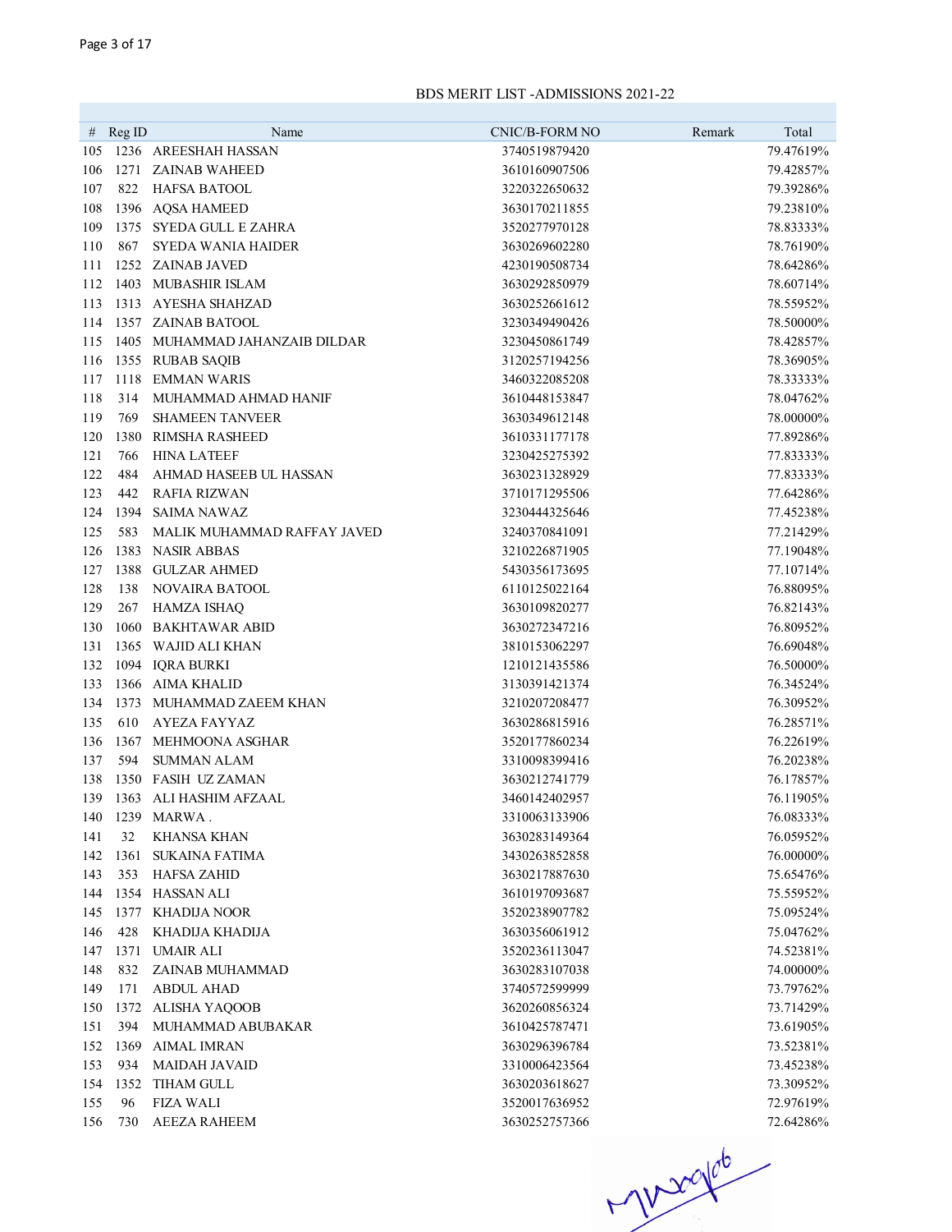| #          | Reg ID      | Name                                            | <b>CNIC/B-FORM NO</b>          | Total<br>Remark        |
|------------|-------------|-------------------------------------------------|--------------------------------|------------------------|
| 105        |             | 1236 AREESHAH HASSAN                            | 3740519879420                  | 79.47619%              |
| 106        |             | 1271 ZAINAB WAHEED                              | 3610160907506                  | 79.42857%              |
| 107        | 822         | HAFSA BATOOL                                    | 3220322650632                  | 79.39286%              |
| 108        |             | 1396 AQSA HAMEED                                | 3630170211855                  | 79.23810%              |
| 109        |             | 1375 SYEDA GULL E ZAHRA                         | 3520277970128                  | 78.83333%              |
| 110        | 867         | <b>SYEDA WANIA HAIDER</b>                       | 3630269602280                  | 78.76190%              |
| 111        |             | 1252 ZAINAB JAVED                               | 4230190508734                  | 78.64286%              |
| 112        |             | 1403 MUBASHIR ISLAM                             | 3630292850979                  | 78.60714%              |
| 113        |             | 1313 AYESHA SHAHZAD                             | 3630252661612                  | 78.55952%              |
| 114        |             | 1357 ZAINAB BATOOL                              | 3230349490426                  | 78.50000%              |
| 115        |             | 1405 MUHAMMAD JAHANZAIB DILDAR                  | 3230450861749                  | 78.42857%              |
| 116        |             | 1355 RUBAB SAQIB                                | 3120257194256                  | 78.36905%              |
| 117        |             | 1118 EMMAN WARIS                                | 3460322085208                  |                        |
| 118        | 314         | MUHAMMAD AHMAD HANIF                            | 3610448153847                  | 78.33333%<br>78.04762% |
|            |             |                                                 |                                |                        |
| 119<br>120 | 769<br>1380 | <b>SHAMEEN TANVEER</b><br>RIMSHA RASHEED        | 3630349612148<br>3610331177178 | 78.00000%<br>77.89286% |
|            |             | <b>HINA LATEEF</b>                              | 3230425275392                  |                        |
| 121        | 766         |                                                 |                                | 77.83333%              |
| 122        | 484         | AHMAD HASEEB UL HASSAN                          | 3630231328929                  | 77.83333%              |
| 123        | 442         | <b>RAFIA RIZWAN</b>                             | 3710171295506                  | 77.64286%              |
| 124        | 1394        | <b>SAIMA NAWAZ</b>                              | 3230444325646                  | 77.45238%              |
| 125        | 583         | MALIK MUHAMMAD RAFFAY JAVED<br>1383 NASIR ABBAS | 3240370841091                  | 77.21429%              |
| 126        |             |                                                 | 3210226871905                  | 77.19048%              |
| 127        |             | 1388 GULZAR AHMED                               | 5430356173695                  | 77.10714%              |
| 128        | 138         | <b>NOVAIRA BATOOL</b>                           | 6110125022164                  | 76.88095%              |
| 129        | 267         | <b>HAMZA ISHAQ</b>                              | 3630109820277                  | 76.82143%              |
| 130        |             | 1060 BAKHTAWAR ABID                             | 3630272347216                  | 76.80952%              |
| 131        |             | 1365 WAJID ALI KHAN                             | 3810153062297                  | 76.69048%              |
| 132        |             | 1094 IQRA BURKI                                 | 1210121435586                  | 76.50000%              |
| 133        |             | 1366 AIMA KHALID                                | 3130391421374                  | 76.34524%              |
| 134        |             | 1373 MUHAMMAD ZAEEM KHAN                        | 3210207208477                  | 76.30952%              |
| 135        | 610         | AYEZA FAYYAZ                                    | 3630286815916                  | 76.28571%              |
| 136        |             | 1367 MEHMOONA ASGHAR                            | 3520177860234                  | 76.22619%              |
| 137        | 594         | <b>SUMMAN ALAM</b>                              | 3310098399416                  | 76.20238%              |
| 138        |             | 1350 FASIH UZ ZAMAN                             | 3630212741779                  | 76.17857%              |
|            |             | 139 1363 ALI HASHIM AFZAAL                      | 3460142402957                  | 76.11905%              |
|            |             | 140 1239 MARWA.                                 | 3310063133906                  | 76.08333%              |
| 141        | 32          | KHANSA KHAN                                     | 3630283149364                  | 76.05952%              |
| 142        | 1361        | <b>SUKAINA FATIMA</b>                           | 3430263852858                  | 76.00000%              |
| 143        | 353         | <b>HAFSA ZAHID</b>                              | 3630217887630                  | 75.65476%              |
| 144        |             | 1354 HASSAN ALI                                 | 3610197093687                  | 75.55952%              |
| 145        |             | 1377 KHADIJA NOOR                               | 3520238907782                  | 75.09524%              |
| 146        | 428         | KHADIJA KHADIJA                                 | 3630356061912                  | 75.04762%              |
| 147        | 1371        | <b>UMAIR ALI</b>                                | 3520236113047                  | 74.52381%              |
| 148        | 832         | ZAINAB MUHAMMAD                                 | 3630283107038                  | 74.00000%              |
| 149        | 171         | <b>ABDUL AHAD</b>                               | 3740572599999                  | 73.79762%              |
| 150        |             | 1372 ALISHA YAQOOB                              | 3620260856324                  | 73.71429%              |
| 151        | 394         | MUHAMMAD ABUBAKAR                               | 3610425787471                  | 73.61905%              |
| 152        | 1369        | AIMAL IMRAN                                     | 3630296396784                  | 73.52381%              |
| 153        | 934         | <b>MAIDAH JAVAID</b>                            | 3310006423564                  | 73.45238%              |
| 154        | 1352        | <b>TIHAM GULL</b>                               | 3630203618627                  | 73.30952%              |
| 155        | 96          | <b>FIZA WALI</b>                                | 3520017636952                  | 72.97619%              |
| 156        | 730         | <b>AEEZA RAHEEM</b>                             | 3630252757366                  | 72.64286%              |

 $106 - 100$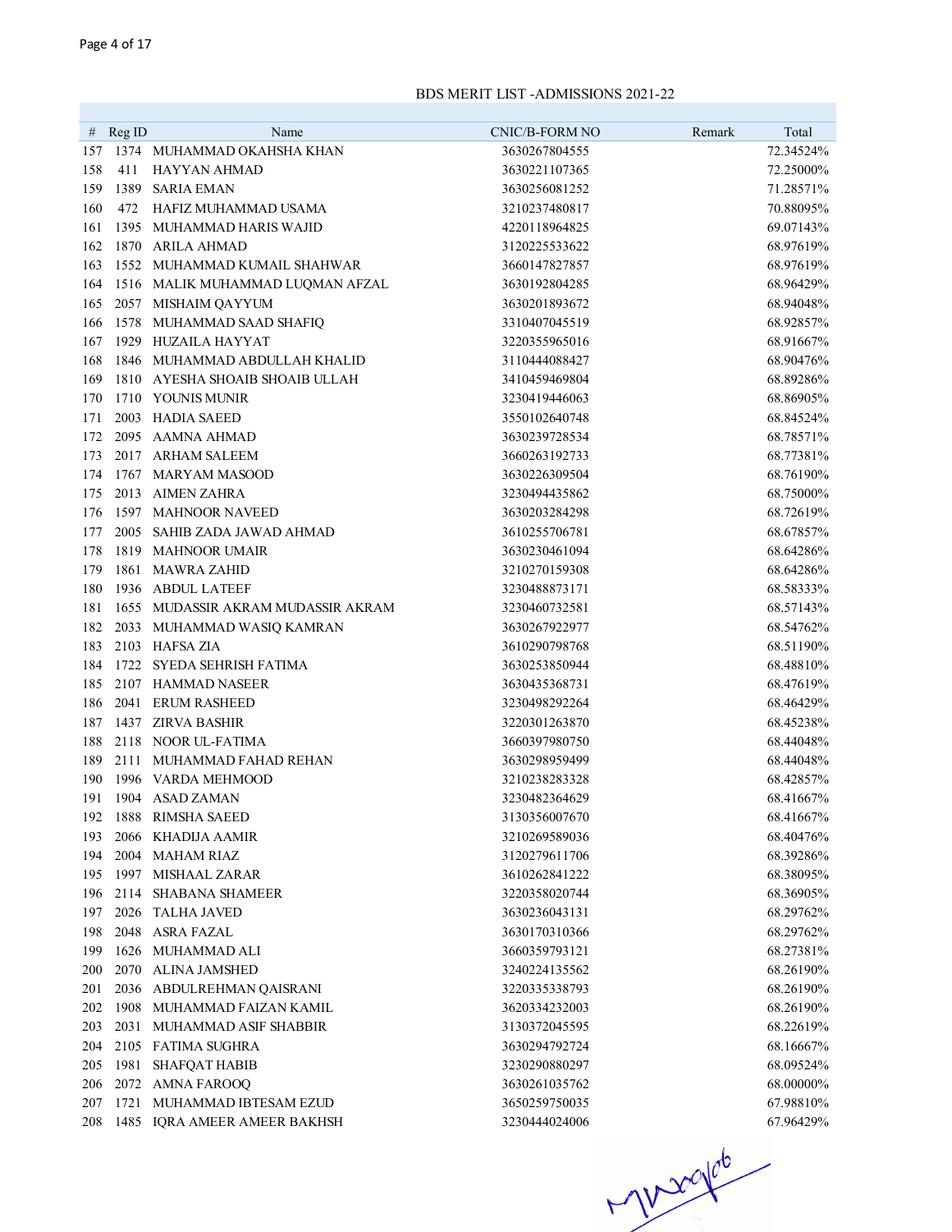| Name<br># $RegID$                                   | <b>CNIC/B-FORM NO</b>          | Remark | Total                  |
|-----------------------------------------------------|--------------------------------|--------|------------------------|
| 1374 MUHAMMAD OKAHSHA KHAN<br>157                   | 3630267804555                  |        | 72.34524%              |
| 158<br>411<br>HAYYAN AHMAD                          | 3630221107365                  |        | 72.25000%              |
| 159<br>1389 SARIA EMAN                              | 3630256081252                  |        | 71.28571%              |
| 160<br>472<br>HAFIZ MUHAMMAD USAMA                  | 3210237480817                  |        | 70.88095%              |
| 161<br>1395 MUHAMMAD HARIS WAJID                    | 4220118964825                  |        | 69.07143%              |
| 1870 ARILA AHMAD<br>162                             | 3120225533622                  |        | 68.97619%              |
| 163<br>1552 MUHAMMAD KUMAIL SHAHWAR                 | 3660147827857                  |        | 68.97619%              |
| 1516 MALIK MUHAMMAD LUQMAN AFZAL<br>164             | 3630192804285                  |        | 68.96429%              |
| 165<br>2057 MISHAIM QAYYUM                          | 3630201893672                  |        | 68.94048%              |
| 1578 MUHAMMAD SAAD SHAFIQ<br>166                    | 3310407045519                  |        | 68.92857%              |
| 167<br>1929 HUZAILA HAYYAT                          | 3220355965016                  |        | 68.91667%              |
| 168<br>1846 MUHAMMAD ABDULLAH KHALID                | 3110444088427                  |        | 68.90476%              |
| 169<br>1810 AYESHA SHOAIB SHOAIB ULLAH              | 3410459469804                  |        | 68.89286%              |
| 1710 YOUNIS MUNIR<br>170                            | 3230419446063                  |        | 68.86905%              |
| 2003 HADIA SAEED<br>171                             | 3550102640748                  |        | 68.84524%              |
| 2095 AAMNA AHMAD<br>172                             | 3630239728534                  |        | 68.78571%              |
| 173<br>2017 ARHAM SALEEM                            | 3660263192733                  |        | 68.77381%              |
| 1767 MARYAM MASOOD<br>174                           | 3630226309504                  |        | 68.76190%              |
| 2013 AIMEN ZAHRA<br>175                             | 3230494435862                  |        | 68.75000%              |
| 1597 MAHNOOR NAVEED<br>176                          |                                |        | 68.72619%              |
| 2005 SAHIB ZADA JAWAD AHMAD<br>177                  | 3630203284298<br>3610255706781 |        | 68.67857%              |
| 1819 MAHNOOR UMAIR<br>178                           | 3630230461094                  |        | 68.64286%              |
| 1861 MAWRA ZAHID<br>179                             | 3210270159308                  |        | 68.64286%              |
| 1936 ABDUL LATEEF<br>180                            | 3230488873171                  |        | 68.58333%              |
| 1655 MUDASSIR AKRAM MUDASSIR AKRAM<br>181           | 3230460732581                  |        | 68.57143%              |
| 182                                                 | 3630267922977                  |        | 68.54762%              |
| 2033 MUHAMMAD WASIQ KAMRAN<br>2103 HAFSA ZIA<br>183 | 3610290798768                  |        | 68.51190%              |
| 1722 SYEDA SEHRISH FATIMA<br>184                    | 3630253850944                  |        | 68.48810%              |
| 185<br>2107 HAMMAD NASEER                           | 3630435368731                  |        | 68.47619%              |
| 186<br>2041 ERUM RASHEED                            | 3230498292264                  |        | 68.46429%              |
| 1437 ZIRVA BASHIR<br>187                            | 3220301263870                  |        | 68.45238%              |
| 188<br>2118 NOOR UL-FATIMA                          | 3660397980750                  |        | 68.44048%              |
| 189<br>2111 MUHAMMAD FAHAD REHAN                    | 3630298959499                  |        | 68.44048%              |
| 190<br>1996 VARDA MEHMOOD                           | 3210238283328                  |        | 68.42857%              |
|                                                     |                                |        |                        |
| 191 1904 ASAD ZAMAN<br>1888 RIMSHA SAEED<br>192     | 3230482364629                  |        | 68.41667%<br>68.41667% |
| 2066 KHADIJA AAMIR                                  | 3130356007670                  |        |                        |
| 193<br>2004 MAHAM RIAZ                              | 3210269589036<br>3120279611706 |        | 68.40476%              |
| 194<br>1997 MISHAAL ZARAR<br>195                    | 3610262841222                  |        | 68.39286%<br>68.38095% |
| 2114 SHABANA SHAMEER<br>196                         | 3220358020744                  |        | 68.36905%              |
| 2026 TALHA JAVED<br>197                             | 3630236043131                  |        | 68.29762%              |
| 2048 ASRA FAZAL<br>198                              | 3630170310366                  |        | 68.29762%              |
| 1626 MUHAMMAD ALI<br>199                            | 3660359793121                  |        | 68.27381%              |
| 2070 ALINA JAMSHED<br>200                           | 3240224135562                  |        | 68.26190%              |
| 2036 ABDULREHMAN QAISRANI<br>201                    | 3220335338793                  |        | 68.26190%              |
| 1908 MUHAMMAD FAIZAN KAMIL<br>202                   | 3620334232003                  |        | 68.26190%              |
| 2031 MUHAMMAD ASIF SHABBIR<br>203                   | 3130372045595                  |        | 68.22619%              |
| 2105 FATIMA SUGHRA<br>204                           | 3630294792724                  |        | 68.16667%              |
| <b>SHAFQAT HABIB</b><br>1981<br>205                 | 3230290880297                  |        | 68.09524%              |
| 2072 AMNA FAROOQ<br>206                             | 3630261035762                  |        | 68.00000%              |
| 1721 MUHAMMAD IBTESAM EZUD<br>207                   |                                |        |                        |
|                                                     | 3650259750035                  |        | 67.98810%              |

 $700000$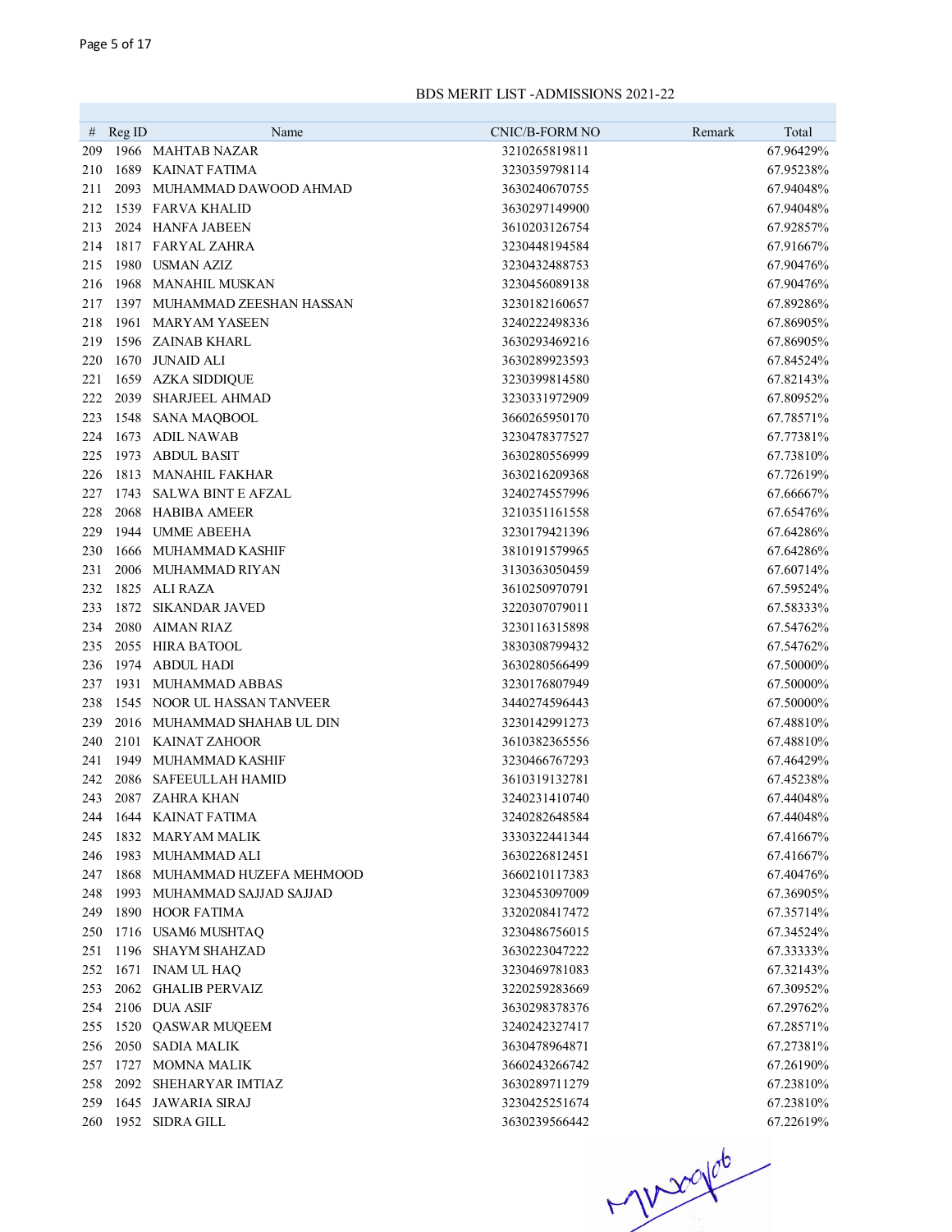|            | # $\text{Reg ID}$ | Name                                           | CNIC/B-FORM NO                 | Remark | Total                  |
|------------|-------------------|------------------------------------------------|--------------------------------|--------|------------------------|
| 209        |                   | 1966 MAHTAB NAZAR                              | 3210265819811                  |        | 67.96429%              |
| 210        |                   | 1689 KAINAT FATIMA                             | 3230359798114                  |        | 67.95238%              |
| 211        |                   | 2093 MUHAMMAD DAWOOD AHMAD                     | 3630240670755                  |        | 67.94048%              |
| 212        |                   | 1539 FARVA KHALID                              | 3630297149900                  |        | 67.94048%              |
| 213        |                   | 2024 HANFA JABEEN                              | 3610203126754                  |        | 67.92857%              |
| 214        |                   | 1817 FARYAL ZAHRA                              | 3230448194584                  |        | 67.91667%              |
| 215        |                   | 1980 USMAN AZIZ                                | 3230432488753                  |        | 67.90476%              |
| 216        |                   | 1968 MANAHIL MUSKAN                            | 3230456089138                  |        | 67.90476%              |
| 217        |                   | 1397 MUHAMMAD ZEESHAN HASSAN                   | 3230182160657                  |        | 67.89286%              |
|            | 1961              |                                                |                                |        |                        |
| 218<br>219 |                   | <b>MARYAM YASEEN</b><br>1596 ZAINAB KHARL      | 3240222498336<br>3630293469216 |        | 67.86905%<br>67.86905% |
|            |                   | <b>JUNAID ALI</b>                              |                                |        |                        |
| 220        | 1670              |                                                | 3630289923593                  |        | 67.84524%              |
| 221<br>222 | 2039              | 1659 AZKA SIDDIQUE<br><b>SHARJEEL AHMAD</b>    | 3230399814580                  |        | 67.82143%              |
|            |                   |                                                | 3230331972909                  |        | 67.80952%<br>67.78571% |
| 223        |                   | 1548 SANA MAQBOOL<br>1673 ADIL NAWAB           | 3660265950170                  |        |                        |
| 224        |                   |                                                | 3230478377527                  |        | 67.77381%              |
| 225        | 1973              | <b>ABDUL BASIT</b>                             | 3630280556999                  |        | 67.73810%              |
| 226        |                   | 1813 MANAHIL FAKHAR<br>1743 SALWA BINT E AFZAL | 3630216209368                  |        | 67.72619%              |
| 227        |                   |                                                | 3240274557996                  |        | 67.66667%              |
| 228        |                   | 2068 HABIBA AMEER                              | 3210351161558                  |        | 67.65476%              |
| 229        |                   | 1944 UMME ABEEHA                               | 3230179421396                  |        | 67.64286%              |
| 230        |                   | 1666 MUHAMMAD KASHIF                           | 3810191579965                  |        | 67.64286%              |
| 231        |                   | 2006 MUHAMMAD RIYAN                            | 3130363050459                  |        | 67.60714%              |
| 232        |                   | 1825 ALI RAZA                                  | 3610250970791                  |        | 67.59524%              |
| 233        |                   | 1872 SIKANDAR JAVED                            | 3220307079011                  |        | 67.58333%              |
| 234        |                   | 2080 AIMAN RIAZ                                | 3230116315898                  |        | 67.54762%              |
| 235        |                   | 2055 HIRA BATOOL                               | 3830308799432                  |        | 67.54762%              |
| 236        |                   | 1974 ABDUL HADI                                | 3630280566499                  |        | 67.50000%              |
| 237        |                   | 1931 MUHAMMAD ABBAS                            | 3230176807949                  |        | 67.50000%              |
| 238        |                   | 1545 NOOR UL HASSAN TANVEER                    | 3440274596443                  |        | 67.50000%              |
| 239        |                   | 2016 MUHAMMAD SHAHAB UL DIN                    | 3230142991273                  |        | 67.48810%              |
| 240        |                   | 2101 KAINAT ZAHOOR                             | 3610382365556                  |        | 67.48810%              |
| 241        |                   | 1949 MUHAMMAD KASHIF                           | 3230466767293                  |        | 67.46429%              |
| 242        |                   | 2086 SAFEEULLAH HAMID                          | 3610319132781                  |        | 67.45238%              |
| 243        |                   | 2087 ZAHRA KHAN                                | 3240231410740                  |        | 67.44048%              |
| 244        |                   | 1644 KAINAT FATIMA                             | 3240282648584                  |        | 67.44048%              |
| 245        |                   | 1832 MARYAM MALIK                              | 3330322441344                  |        | 67.41667%              |
| 246        |                   | 1983 MUHAMMAD ALI                              | 3630226812451                  |        | 67.41667%              |
| 247        |                   | 1868 MUHAMMAD HUZEFA MEHMOOD                   | 3660210117383                  |        | 67.40476%              |
| 248        |                   | 1993 MUHAMMAD SAJJAD SAJJAD                    | 3230453097009                  |        | 67.36905%              |
| 249        |                   | 1890 HOOR FATIMA                               | 3320208417472                  |        | 67.35714%              |
| 250        |                   | 1716 USAM6 MUSHTAQ                             | 3230486756015                  |        | 67.34524%              |
| 251        |                   | 1196 SHAYM SHAHZAD                             | 3630223047222                  |        | 67.33333%              |
| 252        |                   | 1671 INAM UL HAQ                               | 3230469781083                  |        | 67.32143%              |
| 253        |                   | 2062 GHALIB PERVAIZ                            | 3220259283669                  |        | 67.30952%              |
| 254        |                   | 2106 DUA ASIF                                  | 3630298378376                  |        | 67.29762%              |
| 255        |                   | 1520 QASWAR MUQEEM                             | 3240242327417                  |        | 67.28571%              |
| 256        |                   | 2050 SADIA MALIK                               | 3630478964871                  |        | 67.27381%              |
| 257        |                   | 1727 MOMNA MALIK                               | 3660243266742                  |        | 67.26190%              |
| 258        |                   | 2092 SHEHARYAR IMTIAZ                          | 3630289711279                  |        | 67.23810%              |
| 259        |                   | 1645 JAWARIA SIRAJ                             | 3230425251674                  |        | 67.23810%              |
|            |                   | 260 1952 SIDRA GILL                            | 3630239566442                  |        | 67.22619%              |

 $-1000000$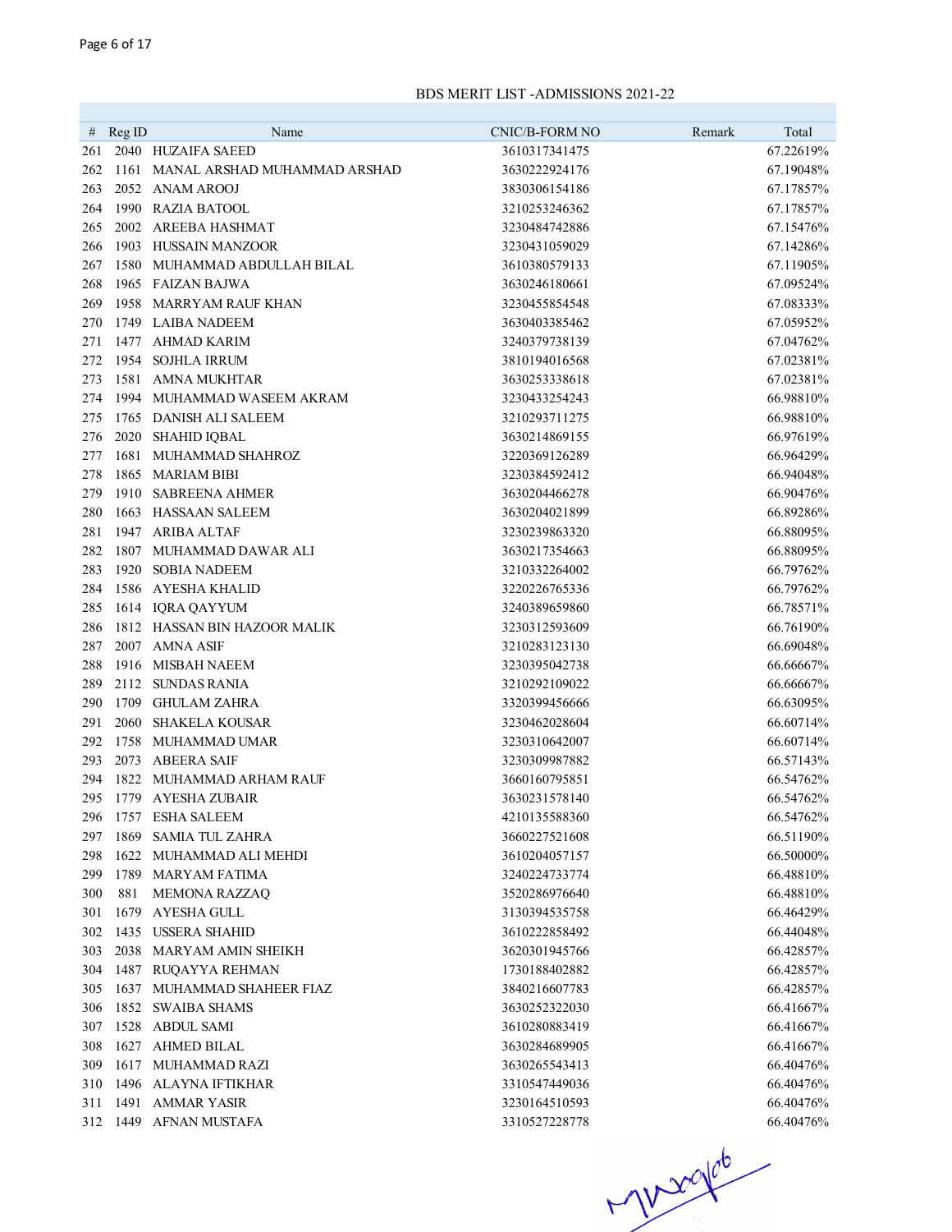| 67.22619%<br>261<br>2040 HUZAIFA SAEED<br>3610317341475<br>262<br>1161 MANAL ARSHAD MUHAMMAD ARSHAD<br>3630222924176<br>67.19048%<br>263<br>2052 ANAM AROOJ<br>3830306154186<br>67.17857%<br>1990 RAZIA BATOOL<br>264<br>3210253246362<br>67.17857%<br>265<br>2002 AREEBA HASHMAT<br>3230484742886<br>67.15476%<br>266<br>1903 HUSSAIN MANZOOR<br>67.14286%<br>3230431059029<br>267<br>1580 MUHAMMAD ABDULLAH BILAL<br>3610380579133<br>67.11905%<br>268<br>1965 FAIZAN BAJWA<br>3630246180661<br>67.09524%<br>269<br>1958 MARRYAM RAUF KHAN<br>3230455854548<br>67.08333%<br>270<br>1749 LAIBA NADEEM<br>3630403385462<br>67.05952%<br>1477 AHMAD KARIM<br>3240379738139<br>67.04762%<br>271<br>272<br>1954<br><b>SOJHLA IRRUM</b><br>3810194016568<br>67.02381%<br>273<br>1581 AMNA MUKHTAR<br>3630253338618<br>67.02381%<br>274<br>1994 MUHAMMAD WASEEM AKRAM<br>3230433254243<br>66.98810%<br>1765 DANISH ALI SALEEM<br>275<br>3210293711275<br>66.98810%<br>276<br>2020 SHAHID IQBAL<br>3630214869155<br>66.97619%<br>1681 MUHAMMAD SHAHROZ<br>66.96429%<br>277<br>3220369126289<br>1865 MARIAM BIBI<br>66.94048%<br>278<br>3230384592412<br>1910 SABREENA AHMER<br>66.90476%<br>279<br>3630204466278<br>1663 HASSAAN SALEEM<br>66.89286%<br>280<br>3630204021899<br>1947 ARIBA ALTAF<br>66.88095%<br>281<br>3230239863320<br>282<br>1807 MUHAMMAD DAWAR ALI<br>66.88095%<br>3630217354663<br>283<br>1920 SOBIA NADEEM<br>66.79762%<br>3210332264002<br>1586 AYESHA KHALID<br>66.79762%<br>284<br>3220226765336<br>285<br>1614 IQRA QAYYUM<br>3240389659860<br>66.78571%<br>286<br>1812 HASSAN BIN HAZOOR MALIK<br>3230312593609<br>66.76190%<br>287<br>2007 AMNA ASIF<br>3210283123130<br>66.69048%<br>288<br>1916 MISBAH NAEEM<br>3230395042738<br>66.66667%<br>289<br>2112 SUNDAS RANIA<br>3210292109022<br>66.66667%<br>290<br>1709 GHULAM ZAHRA<br>3320399456666<br>66.63095%<br>291<br>2060 SHAKELA KOUSAR<br>3230462028604<br>66.60714%<br>292<br>1758 MUHAMMAD UMAR<br>3230310642007<br>66.60714%<br>293<br>2073 ABEERA SAIF<br>3230309987882<br>66.57143%<br>1822 MUHAMMAD ARHAM RAUF<br>294<br>3660160795851<br>66.54762%<br>1779 AYESHA ZUBAIR<br>295<br>3630231578140<br>66.54762%<br>1757 ESHA SALEEM<br>296<br>4210135588360<br>66.54762%<br>1869 SAMIA TUL ZAHRA<br>297<br>3660227521608<br>66.51190\%<br>1622 MUHAMMAD ALI MEHDI<br>66.50000%<br>298<br>3610204057157<br>299<br>1789 MARYAM FATIMA<br>66.48810%<br>3240224733774<br>881<br><b>MEMONA RAZZAO</b><br>3520286976640<br>66.48810%<br>300<br>1679 AYESHA GULL<br>3130394535758<br>301<br>66.46429%<br>1435 USSERA SHAHID<br>302<br>3610222858492<br>66.44048%<br>2038 MARYAM AMIN SHEIKH<br>3620301945766<br>66.42857%<br>303<br>1487 RUQAYYA REHMAN<br>1730188402882<br>66.42857%<br>304<br>MUHAMMAD SHAHEER FIAZ<br>3840216607783<br>66.42857%<br>305<br>1637<br>1852 SWAIBA SHAMS<br>3630252322030<br>66.41667%<br>306<br>307<br>1528 ABDUL SAMI<br>3610280883419<br>66.41667%<br>1627 AHMED BILAL<br>308<br>3630284689905<br>66.41667%<br>1617 MUHAMMAD RAZI<br>3630265543413<br>66.40476%<br>309<br>310<br>1496 ALAYNA IFTIKHAR<br>3310547449036<br>66.40476%<br>1491 AMMAR YASIR<br>66.40476%<br>311<br>3230164510593<br>312 1449 AFNAN MUSTAFA<br>3310527228778<br>66.40476% | # $RegID$ | Name | CNIC/B-FORM NO | Remark | Total |
|---------------------------------------------------------------------------------------------------------------------------------------------------------------------------------------------------------------------------------------------------------------------------------------------------------------------------------------------------------------------------------------------------------------------------------------------------------------------------------------------------------------------------------------------------------------------------------------------------------------------------------------------------------------------------------------------------------------------------------------------------------------------------------------------------------------------------------------------------------------------------------------------------------------------------------------------------------------------------------------------------------------------------------------------------------------------------------------------------------------------------------------------------------------------------------------------------------------------------------------------------------------------------------------------------------------------------------------------------------------------------------------------------------------------------------------------------------------------------------------------------------------------------------------------------------------------------------------------------------------------------------------------------------------------------------------------------------------------------------------------------------------------------------------------------------------------------------------------------------------------------------------------------------------------------------------------------------------------------------------------------------------------------------------------------------------------------------------------------------------------------------------------------------------------------------------------------------------------------------------------------------------------------------------------------------------------------------------------------------------------------------------------------------------------------------------------------------------------------------------------------------------------------------------------------------------------------------------------------------------------------------------------------------------------------------------------------------------------------------------------------------------------------------------------------------------------------------------------------------------------------------------------------------------------------------------------------------------------------------------------------------------------------------------------------------------------------------------------------------------------------------------------------------------------------------------------------------------------------------------------------------------------|-----------|------|----------------|--------|-------|
|                                                                                                                                                                                                                                                                                                                                                                                                                                                                                                                                                                                                                                                                                                                                                                                                                                                                                                                                                                                                                                                                                                                                                                                                                                                                                                                                                                                                                                                                                                                                                                                                                                                                                                                                                                                                                                                                                                                                                                                                                                                                                                                                                                                                                                                                                                                                                                                                                                                                                                                                                                                                                                                                                                                                                                                                                                                                                                                                                                                                                                                                                                                                                                                                                                                                     |           |      |                |        |       |
|                                                                                                                                                                                                                                                                                                                                                                                                                                                                                                                                                                                                                                                                                                                                                                                                                                                                                                                                                                                                                                                                                                                                                                                                                                                                                                                                                                                                                                                                                                                                                                                                                                                                                                                                                                                                                                                                                                                                                                                                                                                                                                                                                                                                                                                                                                                                                                                                                                                                                                                                                                                                                                                                                                                                                                                                                                                                                                                                                                                                                                                                                                                                                                                                                                                                     |           |      |                |        |       |
|                                                                                                                                                                                                                                                                                                                                                                                                                                                                                                                                                                                                                                                                                                                                                                                                                                                                                                                                                                                                                                                                                                                                                                                                                                                                                                                                                                                                                                                                                                                                                                                                                                                                                                                                                                                                                                                                                                                                                                                                                                                                                                                                                                                                                                                                                                                                                                                                                                                                                                                                                                                                                                                                                                                                                                                                                                                                                                                                                                                                                                                                                                                                                                                                                                                                     |           |      |                |        |       |
|                                                                                                                                                                                                                                                                                                                                                                                                                                                                                                                                                                                                                                                                                                                                                                                                                                                                                                                                                                                                                                                                                                                                                                                                                                                                                                                                                                                                                                                                                                                                                                                                                                                                                                                                                                                                                                                                                                                                                                                                                                                                                                                                                                                                                                                                                                                                                                                                                                                                                                                                                                                                                                                                                                                                                                                                                                                                                                                                                                                                                                                                                                                                                                                                                                                                     |           |      |                |        |       |
|                                                                                                                                                                                                                                                                                                                                                                                                                                                                                                                                                                                                                                                                                                                                                                                                                                                                                                                                                                                                                                                                                                                                                                                                                                                                                                                                                                                                                                                                                                                                                                                                                                                                                                                                                                                                                                                                                                                                                                                                                                                                                                                                                                                                                                                                                                                                                                                                                                                                                                                                                                                                                                                                                                                                                                                                                                                                                                                                                                                                                                                                                                                                                                                                                                                                     |           |      |                |        |       |
|                                                                                                                                                                                                                                                                                                                                                                                                                                                                                                                                                                                                                                                                                                                                                                                                                                                                                                                                                                                                                                                                                                                                                                                                                                                                                                                                                                                                                                                                                                                                                                                                                                                                                                                                                                                                                                                                                                                                                                                                                                                                                                                                                                                                                                                                                                                                                                                                                                                                                                                                                                                                                                                                                                                                                                                                                                                                                                                                                                                                                                                                                                                                                                                                                                                                     |           |      |                |        |       |
|                                                                                                                                                                                                                                                                                                                                                                                                                                                                                                                                                                                                                                                                                                                                                                                                                                                                                                                                                                                                                                                                                                                                                                                                                                                                                                                                                                                                                                                                                                                                                                                                                                                                                                                                                                                                                                                                                                                                                                                                                                                                                                                                                                                                                                                                                                                                                                                                                                                                                                                                                                                                                                                                                                                                                                                                                                                                                                                                                                                                                                                                                                                                                                                                                                                                     |           |      |                |        |       |
|                                                                                                                                                                                                                                                                                                                                                                                                                                                                                                                                                                                                                                                                                                                                                                                                                                                                                                                                                                                                                                                                                                                                                                                                                                                                                                                                                                                                                                                                                                                                                                                                                                                                                                                                                                                                                                                                                                                                                                                                                                                                                                                                                                                                                                                                                                                                                                                                                                                                                                                                                                                                                                                                                                                                                                                                                                                                                                                                                                                                                                                                                                                                                                                                                                                                     |           |      |                |        |       |
|                                                                                                                                                                                                                                                                                                                                                                                                                                                                                                                                                                                                                                                                                                                                                                                                                                                                                                                                                                                                                                                                                                                                                                                                                                                                                                                                                                                                                                                                                                                                                                                                                                                                                                                                                                                                                                                                                                                                                                                                                                                                                                                                                                                                                                                                                                                                                                                                                                                                                                                                                                                                                                                                                                                                                                                                                                                                                                                                                                                                                                                                                                                                                                                                                                                                     |           |      |                |        |       |
|                                                                                                                                                                                                                                                                                                                                                                                                                                                                                                                                                                                                                                                                                                                                                                                                                                                                                                                                                                                                                                                                                                                                                                                                                                                                                                                                                                                                                                                                                                                                                                                                                                                                                                                                                                                                                                                                                                                                                                                                                                                                                                                                                                                                                                                                                                                                                                                                                                                                                                                                                                                                                                                                                                                                                                                                                                                                                                                                                                                                                                                                                                                                                                                                                                                                     |           |      |                |        |       |
|                                                                                                                                                                                                                                                                                                                                                                                                                                                                                                                                                                                                                                                                                                                                                                                                                                                                                                                                                                                                                                                                                                                                                                                                                                                                                                                                                                                                                                                                                                                                                                                                                                                                                                                                                                                                                                                                                                                                                                                                                                                                                                                                                                                                                                                                                                                                                                                                                                                                                                                                                                                                                                                                                                                                                                                                                                                                                                                                                                                                                                                                                                                                                                                                                                                                     |           |      |                |        |       |
|                                                                                                                                                                                                                                                                                                                                                                                                                                                                                                                                                                                                                                                                                                                                                                                                                                                                                                                                                                                                                                                                                                                                                                                                                                                                                                                                                                                                                                                                                                                                                                                                                                                                                                                                                                                                                                                                                                                                                                                                                                                                                                                                                                                                                                                                                                                                                                                                                                                                                                                                                                                                                                                                                                                                                                                                                                                                                                                                                                                                                                                                                                                                                                                                                                                                     |           |      |                |        |       |
|                                                                                                                                                                                                                                                                                                                                                                                                                                                                                                                                                                                                                                                                                                                                                                                                                                                                                                                                                                                                                                                                                                                                                                                                                                                                                                                                                                                                                                                                                                                                                                                                                                                                                                                                                                                                                                                                                                                                                                                                                                                                                                                                                                                                                                                                                                                                                                                                                                                                                                                                                                                                                                                                                                                                                                                                                                                                                                                                                                                                                                                                                                                                                                                                                                                                     |           |      |                |        |       |
|                                                                                                                                                                                                                                                                                                                                                                                                                                                                                                                                                                                                                                                                                                                                                                                                                                                                                                                                                                                                                                                                                                                                                                                                                                                                                                                                                                                                                                                                                                                                                                                                                                                                                                                                                                                                                                                                                                                                                                                                                                                                                                                                                                                                                                                                                                                                                                                                                                                                                                                                                                                                                                                                                                                                                                                                                                                                                                                                                                                                                                                                                                                                                                                                                                                                     |           |      |                |        |       |
|                                                                                                                                                                                                                                                                                                                                                                                                                                                                                                                                                                                                                                                                                                                                                                                                                                                                                                                                                                                                                                                                                                                                                                                                                                                                                                                                                                                                                                                                                                                                                                                                                                                                                                                                                                                                                                                                                                                                                                                                                                                                                                                                                                                                                                                                                                                                                                                                                                                                                                                                                                                                                                                                                                                                                                                                                                                                                                                                                                                                                                                                                                                                                                                                                                                                     |           |      |                |        |       |
|                                                                                                                                                                                                                                                                                                                                                                                                                                                                                                                                                                                                                                                                                                                                                                                                                                                                                                                                                                                                                                                                                                                                                                                                                                                                                                                                                                                                                                                                                                                                                                                                                                                                                                                                                                                                                                                                                                                                                                                                                                                                                                                                                                                                                                                                                                                                                                                                                                                                                                                                                                                                                                                                                                                                                                                                                                                                                                                                                                                                                                                                                                                                                                                                                                                                     |           |      |                |        |       |
|                                                                                                                                                                                                                                                                                                                                                                                                                                                                                                                                                                                                                                                                                                                                                                                                                                                                                                                                                                                                                                                                                                                                                                                                                                                                                                                                                                                                                                                                                                                                                                                                                                                                                                                                                                                                                                                                                                                                                                                                                                                                                                                                                                                                                                                                                                                                                                                                                                                                                                                                                                                                                                                                                                                                                                                                                                                                                                                                                                                                                                                                                                                                                                                                                                                                     |           |      |                |        |       |
|                                                                                                                                                                                                                                                                                                                                                                                                                                                                                                                                                                                                                                                                                                                                                                                                                                                                                                                                                                                                                                                                                                                                                                                                                                                                                                                                                                                                                                                                                                                                                                                                                                                                                                                                                                                                                                                                                                                                                                                                                                                                                                                                                                                                                                                                                                                                                                                                                                                                                                                                                                                                                                                                                                                                                                                                                                                                                                                                                                                                                                                                                                                                                                                                                                                                     |           |      |                |        |       |
|                                                                                                                                                                                                                                                                                                                                                                                                                                                                                                                                                                                                                                                                                                                                                                                                                                                                                                                                                                                                                                                                                                                                                                                                                                                                                                                                                                                                                                                                                                                                                                                                                                                                                                                                                                                                                                                                                                                                                                                                                                                                                                                                                                                                                                                                                                                                                                                                                                                                                                                                                                                                                                                                                                                                                                                                                                                                                                                                                                                                                                                                                                                                                                                                                                                                     |           |      |                |        |       |
|                                                                                                                                                                                                                                                                                                                                                                                                                                                                                                                                                                                                                                                                                                                                                                                                                                                                                                                                                                                                                                                                                                                                                                                                                                                                                                                                                                                                                                                                                                                                                                                                                                                                                                                                                                                                                                                                                                                                                                                                                                                                                                                                                                                                                                                                                                                                                                                                                                                                                                                                                                                                                                                                                                                                                                                                                                                                                                                                                                                                                                                                                                                                                                                                                                                                     |           |      |                |        |       |
|                                                                                                                                                                                                                                                                                                                                                                                                                                                                                                                                                                                                                                                                                                                                                                                                                                                                                                                                                                                                                                                                                                                                                                                                                                                                                                                                                                                                                                                                                                                                                                                                                                                                                                                                                                                                                                                                                                                                                                                                                                                                                                                                                                                                                                                                                                                                                                                                                                                                                                                                                                                                                                                                                                                                                                                                                                                                                                                                                                                                                                                                                                                                                                                                                                                                     |           |      |                |        |       |
|                                                                                                                                                                                                                                                                                                                                                                                                                                                                                                                                                                                                                                                                                                                                                                                                                                                                                                                                                                                                                                                                                                                                                                                                                                                                                                                                                                                                                                                                                                                                                                                                                                                                                                                                                                                                                                                                                                                                                                                                                                                                                                                                                                                                                                                                                                                                                                                                                                                                                                                                                                                                                                                                                                                                                                                                                                                                                                                                                                                                                                                                                                                                                                                                                                                                     |           |      |                |        |       |
|                                                                                                                                                                                                                                                                                                                                                                                                                                                                                                                                                                                                                                                                                                                                                                                                                                                                                                                                                                                                                                                                                                                                                                                                                                                                                                                                                                                                                                                                                                                                                                                                                                                                                                                                                                                                                                                                                                                                                                                                                                                                                                                                                                                                                                                                                                                                                                                                                                                                                                                                                                                                                                                                                                                                                                                                                                                                                                                                                                                                                                                                                                                                                                                                                                                                     |           |      |                |        |       |
|                                                                                                                                                                                                                                                                                                                                                                                                                                                                                                                                                                                                                                                                                                                                                                                                                                                                                                                                                                                                                                                                                                                                                                                                                                                                                                                                                                                                                                                                                                                                                                                                                                                                                                                                                                                                                                                                                                                                                                                                                                                                                                                                                                                                                                                                                                                                                                                                                                                                                                                                                                                                                                                                                                                                                                                                                                                                                                                                                                                                                                                                                                                                                                                                                                                                     |           |      |                |        |       |
|                                                                                                                                                                                                                                                                                                                                                                                                                                                                                                                                                                                                                                                                                                                                                                                                                                                                                                                                                                                                                                                                                                                                                                                                                                                                                                                                                                                                                                                                                                                                                                                                                                                                                                                                                                                                                                                                                                                                                                                                                                                                                                                                                                                                                                                                                                                                                                                                                                                                                                                                                                                                                                                                                                                                                                                                                                                                                                                                                                                                                                                                                                                                                                                                                                                                     |           |      |                |        |       |
|                                                                                                                                                                                                                                                                                                                                                                                                                                                                                                                                                                                                                                                                                                                                                                                                                                                                                                                                                                                                                                                                                                                                                                                                                                                                                                                                                                                                                                                                                                                                                                                                                                                                                                                                                                                                                                                                                                                                                                                                                                                                                                                                                                                                                                                                                                                                                                                                                                                                                                                                                                                                                                                                                                                                                                                                                                                                                                                                                                                                                                                                                                                                                                                                                                                                     |           |      |                |        |       |
|                                                                                                                                                                                                                                                                                                                                                                                                                                                                                                                                                                                                                                                                                                                                                                                                                                                                                                                                                                                                                                                                                                                                                                                                                                                                                                                                                                                                                                                                                                                                                                                                                                                                                                                                                                                                                                                                                                                                                                                                                                                                                                                                                                                                                                                                                                                                                                                                                                                                                                                                                                                                                                                                                                                                                                                                                                                                                                                                                                                                                                                                                                                                                                                                                                                                     |           |      |                |        |       |
|                                                                                                                                                                                                                                                                                                                                                                                                                                                                                                                                                                                                                                                                                                                                                                                                                                                                                                                                                                                                                                                                                                                                                                                                                                                                                                                                                                                                                                                                                                                                                                                                                                                                                                                                                                                                                                                                                                                                                                                                                                                                                                                                                                                                                                                                                                                                                                                                                                                                                                                                                                                                                                                                                                                                                                                                                                                                                                                                                                                                                                                                                                                                                                                                                                                                     |           |      |                |        |       |
|                                                                                                                                                                                                                                                                                                                                                                                                                                                                                                                                                                                                                                                                                                                                                                                                                                                                                                                                                                                                                                                                                                                                                                                                                                                                                                                                                                                                                                                                                                                                                                                                                                                                                                                                                                                                                                                                                                                                                                                                                                                                                                                                                                                                                                                                                                                                                                                                                                                                                                                                                                                                                                                                                                                                                                                                                                                                                                                                                                                                                                                                                                                                                                                                                                                                     |           |      |                |        |       |
|                                                                                                                                                                                                                                                                                                                                                                                                                                                                                                                                                                                                                                                                                                                                                                                                                                                                                                                                                                                                                                                                                                                                                                                                                                                                                                                                                                                                                                                                                                                                                                                                                                                                                                                                                                                                                                                                                                                                                                                                                                                                                                                                                                                                                                                                                                                                                                                                                                                                                                                                                                                                                                                                                                                                                                                                                                                                                                                                                                                                                                                                                                                                                                                                                                                                     |           |      |                |        |       |
|                                                                                                                                                                                                                                                                                                                                                                                                                                                                                                                                                                                                                                                                                                                                                                                                                                                                                                                                                                                                                                                                                                                                                                                                                                                                                                                                                                                                                                                                                                                                                                                                                                                                                                                                                                                                                                                                                                                                                                                                                                                                                                                                                                                                                                                                                                                                                                                                                                                                                                                                                                                                                                                                                                                                                                                                                                                                                                                                                                                                                                                                                                                                                                                                                                                                     |           |      |                |        |       |
|                                                                                                                                                                                                                                                                                                                                                                                                                                                                                                                                                                                                                                                                                                                                                                                                                                                                                                                                                                                                                                                                                                                                                                                                                                                                                                                                                                                                                                                                                                                                                                                                                                                                                                                                                                                                                                                                                                                                                                                                                                                                                                                                                                                                                                                                                                                                                                                                                                                                                                                                                                                                                                                                                                                                                                                                                                                                                                                                                                                                                                                                                                                                                                                                                                                                     |           |      |                |        |       |
|                                                                                                                                                                                                                                                                                                                                                                                                                                                                                                                                                                                                                                                                                                                                                                                                                                                                                                                                                                                                                                                                                                                                                                                                                                                                                                                                                                                                                                                                                                                                                                                                                                                                                                                                                                                                                                                                                                                                                                                                                                                                                                                                                                                                                                                                                                                                                                                                                                                                                                                                                                                                                                                                                                                                                                                                                                                                                                                                                                                                                                                                                                                                                                                                                                                                     |           |      |                |        |       |
|                                                                                                                                                                                                                                                                                                                                                                                                                                                                                                                                                                                                                                                                                                                                                                                                                                                                                                                                                                                                                                                                                                                                                                                                                                                                                                                                                                                                                                                                                                                                                                                                                                                                                                                                                                                                                                                                                                                                                                                                                                                                                                                                                                                                                                                                                                                                                                                                                                                                                                                                                                                                                                                                                                                                                                                                                                                                                                                                                                                                                                                                                                                                                                                                                                                                     |           |      |                |        |       |
|                                                                                                                                                                                                                                                                                                                                                                                                                                                                                                                                                                                                                                                                                                                                                                                                                                                                                                                                                                                                                                                                                                                                                                                                                                                                                                                                                                                                                                                                                                                                                                                                                                                                                                                                                                                                                                                                                                                                                                                                                                                                                                                                                                                                                                                                                                                                                                                                                                                                                                                                                                                                                                                                                                                                                                                                                                                                                                                                                                                                                                                                                                                                                                                                                                                                     |           |      |                |        |       |
|                                                                                                                                                                                                                                                                                                                                                                                                                                                                                                                                                                                                                                                                                                                                                                                                                                                                                                                                                                                                                                                                                                                                                                                                                                                                                                                                                                                                                                                                                                                                                                                                                                                                                                                                                                                                                                                                                                                                                                                                                                                                                                                                                                                                                                                                                                                                                                                                                                                                                                                                                                                                                                                                                                                                                                                                                                                                                                                                                                                                                                                                                                                                                                                                                                                                     |           |      |                |        |       |
|                                                                                                                                                                                                                                                                                                                                                                                                                                                                                                                                                                                                                                                                                                                                                                                                                                                                                                                                                                                                                                                                                                                                                                                                                                                                                                                                                                                                                                                                                                                                                                                                                                                                                                                                                                                                                                                                                                                                                                                                                                                                                                                                                                                                                                                                                                                                                                                                                                                                                                                                                                                                                                                                                                                                                                                                                                                                                                                                                                                                                                                                                                                                                                                                                                                                     |           |      |                |        |       |
|                                                                                                                                                                                                                                                                                                                                                                                                                                                                                                                                                                                                                                                                                                                                                                                                                                                                                                                                                                                                                                                                                                                                                                                                                                                                                                                                                                                                                                                                                                                                                                                                                                                                                                                                                                                                                                                                                                                                                                                                                                                                                                                                                                                                                                                                                                                                                                                                                                                                                                                                                                                                                                                                                                                                                                                                                                                                                                                                                                                                                                                                                                                                                                                                                                                                     |           |      |                |        |       |
|                                                                                                                                                                                                                                                                                                                                                                                                                                                                                                                                                                                                                                                                                                                                                                                                                                                                                                                                                                                                                                                                                                                                                                                                                                                                                                                                                                                                                                                                                                                                                                                                                                                                                                                                                                                                                                                                                                                                                                                                                                                                                                                                                                                                                                                                                                                                                                                                                                                                                                                                                                                                                                                                                                                                                                                                                                                                                                                                                                                                                                                                                                                                                                                                                                                                     |           |      |                |        |       |
|                                                                                                                                                                                                                                                                                                                                                                                                                                                                                                                                                                                                                                                                                                                                                                                                                                                                                                                                                                                                                                                                                                                                                                                                                                                                                                                                                                                                                                                                                                                                                                                                                                                                                                                                                                                                                                                                                                                                                                                                                                                                                                                                                                                                                                                                                                                                                                                                                                                                                                                                                                                                                                                                                                                                                                                                                                                                                                                                                                                                                                                                                                                                                                                                                                                                     |           |      |                |        |       |
|                                                                                                                                                                                                                                                                                                                                                                                                                                                                                                                                                                                                                                                                                                                                                                                                                                                                                                                                                                                                                                                                                                                                                                                                                                                                                                                                                                                                                                                                                                                                                                                                                                                                                                                                                                                                                                                                                                                                                                                                                                                                                                                                                                                                                                                                                                                                                                                                                                                                                                                                                                                                                                                                                                                                                                                                                                                                                                                                                                                                                                                                                                                                                                                                                                                                     |           |      |                |        |       |
|                                                                                                                                                                                                                                                                                                                                                                                                                                                                                                                                                                                                                                                                                                                                                                                                                                                                                                                                                                                                                                                                                                                                                                                                                                                                                                                                                                                                                                                                                                                                                                                                                                                                                                                                                                                                                                                                                                                                                                                                                                                                                                                                                                                                                                                                                                                                                                                                                                                                                                                                                                                                                                                                                                                                                                                                                                                                                                                                                                                                                                                                                                                                                                                                                                                                     |           |      |                |        |       |
|                                                                                                                                                                                                                                                                                                                                                                                                                                                                                                                                                                                                                                                                                                                                                                                                                                                                                                                                                                                                                                                                                                                                                                                                                                                                                                                                                                                                                                                                                                                                                                                                                                                                                                                                                                                                                                                                                                                                                                                                                                                                                                                                                                                                                                                                                                                                                                                                                                                                                                                                                                                                                                                                                                                                                                                                                                                                                                                                                                                                                                                                                                                                                                                                                                                                     |           |      |                |        |       |
|                                                                                                                                                                                                                                                                                                                                                                                                                                                                                                                                                                                                                                                                                                                                                                                                                                                                                                                                                                                                                                                                                                                                                                                                                                                                                                                                                                                                                                                                                                                                                                                                                                                                                                                                                                                                                                                                                                                                                                                                                                                                                                                                                                                                                                                                                                                                                                                                                                                                                                                                                                                                                                                                                                                                                                                                                                                                                                                                                                                                                                                                                                                                                                                                                                                                     |           |      |                |        |       |
|                                                                                                                                                                                                                                                                                                                                                                                                                                                                                                                                                                                                                                                                                                                                                                                                                                                                                                                                                                                                                                                                                                                                                                                                                                                                                                                                                                                                                                                                                                                                                                                                                                                                                                                                                                                                                                                                                                                                                                                                                                                                                                                                                                                                                                                                                                                                                                                                                                                                                                                                                                                                                                                                                                                                                                                                                                                                                                                                                                                                                                                                                                                                                                                                                                                                     |           |      |                |        |       |
|                                                                                                                                                                                                                                                                                                                                                                                                                                                                                                                                                                                                                                                                                                                                                                                                                                                                                                                                                                                                                                                                                                                                                                                                                                                                                                                                                                                                                                                                                                                                                                                                                                                                                                                                                                                                                                                                                                                                                                                                                                                                                                                                                                                                                                                                                                                                                                                                                                                                                                                                                                                                                                                                                                                                                                                                                                                                                                                                                                                                                                                                                                                                                                                                                                                                     |           |      |                |        |       |
|                                                                                                                                                                                                                                                                                                                                                                                                                                                                                                                                                                                                                                                                                                                                                                                                                                                                                                                                                                                                                                                                                                                                                                                                                                                                                                                                                                                                                                                                                                                                                                                                                                                                                                                                                                                                                                                                                                                                                                                                                                                                                                                                                                                                                                                                                                                                                                                                                                                                                                                                                                                                                                                                                                                                                                                                                                                                                                                                                                                                                                                                                                                                                                                                                                                                     |           |      |                |        |       |
|                                                                                                                                                                                                                                                                                                                                                                                                                                                                                                                                                                                                                                                                                                                                                                                                                                                                                                                                                                                                                                                                                                                                                                                                                                                                                                                                                                                                                                                                                                                                                                                                                                                                                                                                                                                                                                                                                                                                                                                                                                                                                                                                                                                                                                                                                                                                                                                                                                                                                                                                                                                                                                                                                                                                                                                                                                                                                                                                                                                                                                                                                                                                                                                                                                                                     |           |      |                |        |       |
|                                                                                                                                                                                                                                                                                                                                                                                                                                                                                                                                                                                                                                                                                                                                                                                                                                                                                                                                                                                                                                                                                                                                                                                                                                                                                                                                                                                                                                                                                                                                                                                                                                                                                                                                                                                                                                                                                                                                                                                                                                                                                                                                                                                                                                                                                                                                                                                                                                                                                                                                                                                                                                                                                                                                                                                                                                                                                                                                                                                                                                                                                                                                                                                                                                                                     |           |      |                |        |       |
|                                                                                                                                                                                                                                                                                                                                                                                                                                                                                                                                                                                                                                                                                                                                                                                                                                                                                                                                                                                                                                                                                                                                                                                                                                                                                                                                                                                                                                                                                                                                                                                                                                                                                                                                                                                                                                                                                                                                                                                                                                                                                                                                                                                                                                                                                                                                                                                                                                                                                                                                                                                                                                                                                                                                                                                                                                                                                                                                                                                                                                                                                                                                                                                                                                                                     |           |      |                |        |       |
|                                                                                                                                                                                                                                                                                                                                                                                                                                                                                                                                                                                                                                                                                                                                                                                                                                                                                                                                                                                                                                                                                                                                                                                                                                                                                                                                                                                                                                                                                                                                                                                                                                                                                                                                                                                                                                                                                                                                                                                                                                                                                                                                                                                                                                                                                                                                                                                                                                                                                                                                                                                                                                                                                                                                                                                                                                                                                                                                                                                                                                                                                                                                                                                                                                                                     |           |      |                |        |       |
|                                                                                                                                                                                                                                                                                                                                                                                                                                                                                                                                                                                                                                                                                                                                                                                                                                                                                                                                                                                                                                                                                                                                                                                                                                                                                                                                                                                                                                                                                                                                                                                                                                                                                                                                                                                                                                                                                                                                                                                                                                                                                                                                                                                                                                                                                                                                                                                                                                                                                                                                                                                                                                                                                                                                                                                                                                                                                                                                                                                                                                                                                                                                                                                                                                                                     |           |      |                |        |       |

 $-100000$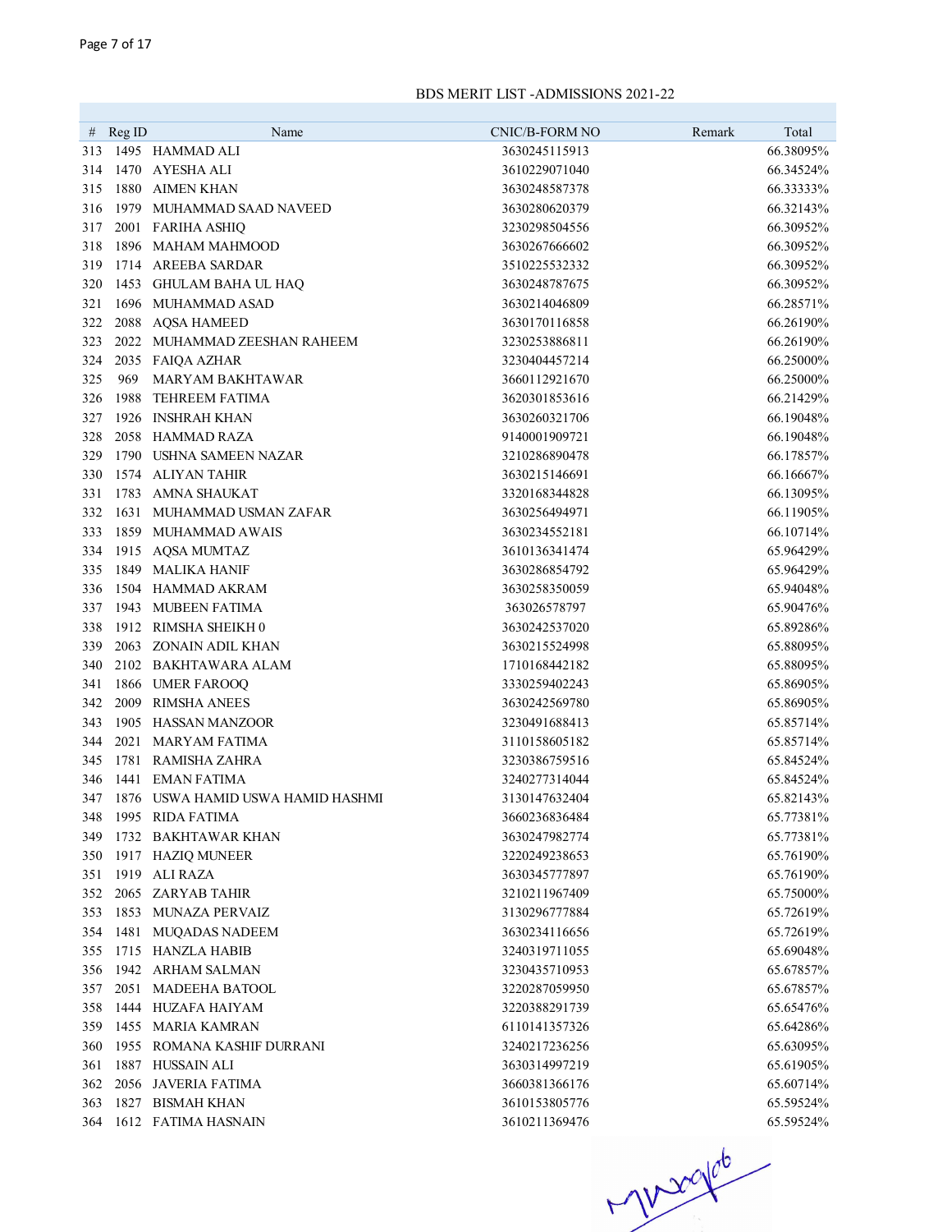|     |            |                                   |                                 | Remark<br>Total |
|-----|------------|-----------------------------------|---------------------------------|-----------------|
| 313 | $#$ Reg ID | Name<br>1495 HAMMAD ALI           | CNIC/B-FORM NO<br>3630245115913 | 66.38095%       |
| 314 |            | 1470 AYESHA ALI                   | 3610229071040                   | 66.34524%       |
| 315 |            | 1880 AIMEN KHAN                   | 3630248587378                   | 66.33333%       |
| 316 |            | 1979 MUHAMMAD SAAD NAVEED         | 3630280620379                   | 66.32143%       |
| 317 |            | 2001 FARIHA ASHIQ                 | 3230298504556                   | 66.30952%       |
| 318 |            | 1896 MAHAM MAHMOOD                | 3630267666602                   | 66.30952%       |
| 319 |            | 1714 AREEBA SARDAR                | 3510225532332                   | 66.30952%       |
| 320 |            | 1453 GHULAM BAHA UL HAQ           | 3630248787675                   | 66.30952%       |
| 321 |            | 1696 MUHAMMAD ASAD                | 3630214046809                   | 66.28571%       |
| 322 |            | 2088 AQSA HAMEED                  | 3630170116858                   | 66.26190%       |
| 323 |            | 2022 MUHAMMAD ZEESHAN RAHEEM      | 3230253886811                   | 66.26190%       |
| 324 |            | 2035 FAIQA AZHAR                  | 3230404457214                   | 66.25000%       |
| 325 | 969        | <b>MARYAM BAKHTAWAR</b>           | 3660112921670                   | 66.25000%       |
| 326 | 1988       | <b>TEHREEM FATIMA</b>             | 3620301853616                   | 66.21429%       |
| 327 |            | 1926 INSHRAH KHAN                 | 3630260321706                   | 66.19048%       |
| 328 |            | 2058 HAMMAD RAZA                  | 9140001909721                   | 66.19048%       |
| 329 | 1790       | <b>USHNA SAMEEN NAZAR</b>         | 3210286890478                   | 66.17857%       |
| 330 |            | 1574 ALIYAN TAHIR                 | 3630215146691                   | 66.16667%       |
| 331 |            | 1783 AMNA SHAUKAT                 | 3320168344828                   | 66.13095%       |
| 332 | 1631       | MUHAMMAD USMAN ZAFAR              | 3630256494971                   | 66.11905%       |
| 333 |            | 1859 MUHAMMAD AWAIS               | 3630234552181                   | 66.10714%       |
| 334 |            | 1915 AQSA MUMTAZ                  | 3610136341474                   | 65.96429%       |
| 335 |            | 1849 MALIKA HANIF                 | 3630286854792                   | 65.96429%       |
| 336 |            | 1504 HAMMAD AKRAM                 | 3630258350059                   | 65.94048%       |
| 337 |            | 1943 MUBEEN FATIMA                | 363026578797                    | 65.90476%       |
| 338 |            | 1912 RIMSHA SHEIKH 0              | 3630242537020                   | 65.89286%       |
| 339 | 2063       | ZONAIN ADIL KHAN                  | 3630215524998                   | 65.88095%       |
| 340 |            | 2102 BAKHTAWARA ALAM              | 1710168442182                   | 65.88095%       |
| 341 |            | 1866 UMER FAROOQ                  | 3330259402243                   | 65.86905%       |
| 342 | 2009       | <b>RIMSHA ANEES</b>               | 3630242569780                   | 65.86905%       |
| 343 | 1905       | <b>HASSAN MANZOOR</b>             | 3230491688413                   | 65.85714%       |
| 344 | 2021       | <b>MARYAM FATIMA</b>              | 3110158605182                   | 65.85714%       |
| 345 |            | 1781 RAMISHA ZAHRA                | 3230386759516                   | 65.84524%       |
| 346 |            | 1441 EMAN FATIMA                  | 3240277314044                   | 65.84524%       |
| 347 |            | 1876 USWA HAMID USWA HAMID HASHMI | 3130147632404                   | 65.82143%       |
| 348 |            | 1995 RIDA FATIMA                  | 3660236836484                   | 65.77381%       |
| 349 |            | 1732 BAKHTAWAR KHAN               | 3630247982774                   | 65.77381%       |
| 350 |            | 1917 HAZIQ MUNEER                 | 3220249238653                   | 65.76190%       |
| 351 |            | 1919 ALI RAZA                     | 3630345777897                   | 65.76190%       |
| 352 |            | 2065 ZARYAB TAHIR                 | 3210211967409                   | 65.75000%       |
| 353 |            | 1853 MUNAZA PERVAIZ               | 3130296777884                   | 65.72619%       |
| 354 |            | 1481 MUQADAS NADEEM               | 3630234116656                   | 65.72619%       |
| 355 |            | 1715 HANZLA HABIB                 | 3240319711055                   | 65.69048%       |
| 356 |            | 1942 ARHAM SALMAN                 | 3230435710953                   | 65.67857%       |
| 357 |            | 2051 MADEEHA BATOOL               | 3220287059950                   | 65.67857%       |
| 358 |            | 1444 HUZAFA HAIYAM                | 3220388291739                   | 65.65476%       |
|     |            | 359 1455 MARIA KAMRAN             | 6110141357326                   | 65.64286%       |
| 360 |            | 1955 ROMANA KASHIF DURRANI        | 3240217236256                   | 65.63095%       |
| 361 |            | 1887 HUSSAIN ALI                  | 3630314997219                   | 65.61905%       |
| 362 |            | 2056 JAVERIA FATIMA               | 3660381366176                   | 65.60714%       |
| 363 |            | 1827 BISMAH KHAN                  | 3610153805776                   | 65.59524%       |
|     |            | 364 1612 FATIMA HASNAIN           | 3610211369476                   | 65.59524%       |

 $-100000$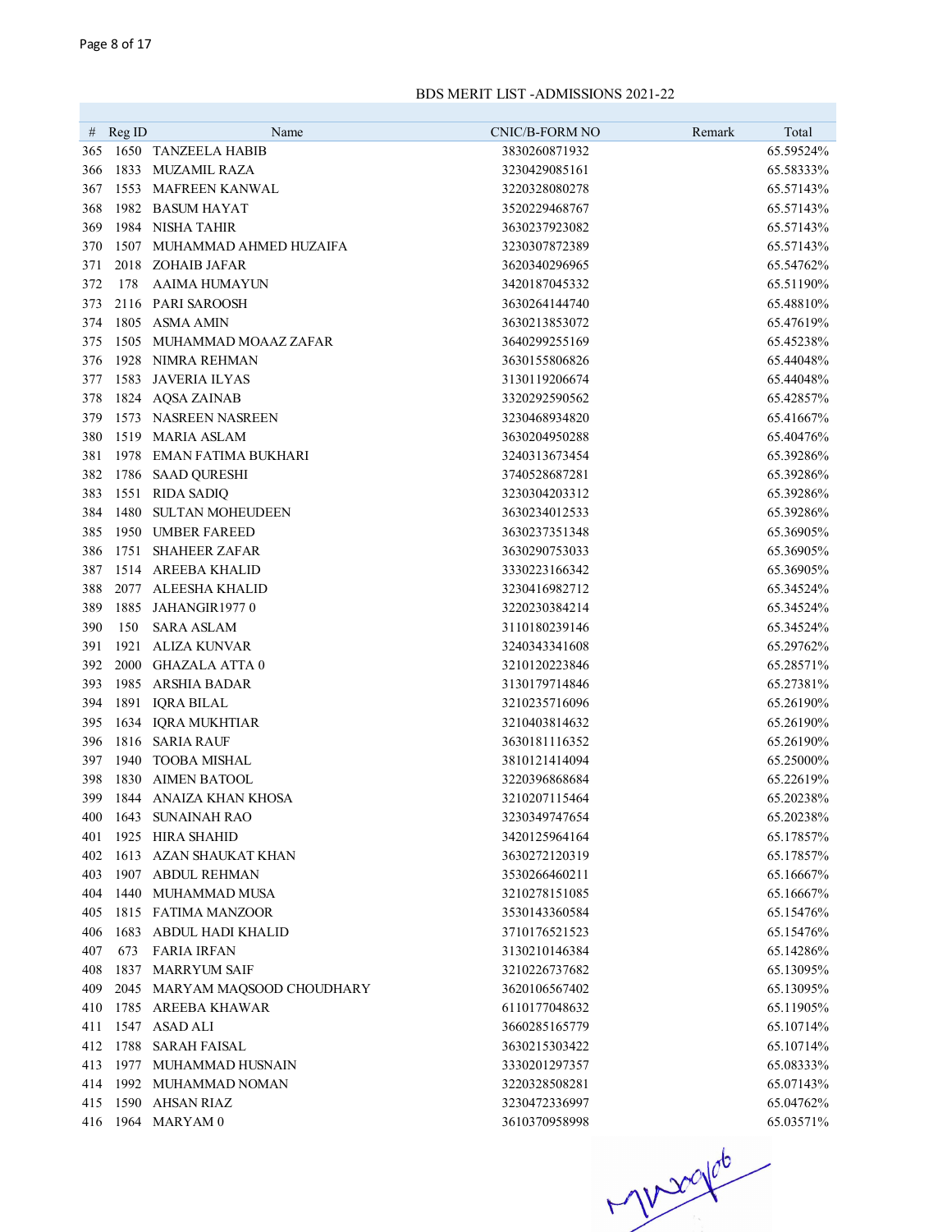| #   | Reg ID | Name                                       | CNIC/B-FORM NO | Remark | Total     |
|-----|--------|--------------------------------------------|----------------|--------|-----------|
| 365 |        | 1650 TANZEELA HABIB                        | 3830260871932  |        | 65.59524% |
| 366 | 1833   | <b>MUZAMIL RAZA</b><br>1553 MAFREEN KANWAL | 3230429085161  |        | 65.58333% |
| 367 |        | 1982 BASUM HAYAT                           | 3220328080278  |        | 65.57143% |
| 368 |        |                                            | 3520229468767  |        | 65.57143% |
| 369 |        | 1984 NISHA TAHIR                           | 3630237923082  |        | 65.57143% |
| 370 |        | 1507 MUHAMMAD AHMED HUZAIFA                | 3230307872389  |        | 65.57143% |
| 371 |        | 2018 ZOHAIB JAFAR                          | 3620340296965  |        | 65.54762% |
| 372 | 178    | <b>AAIMA HUMAYUN</b>                       | 3420187045332  |        | 65.51190% |
| 373 |        | 2116 PARI SAROOSH                          | 3630264144740  |        | 65.48810% |
| 374 |        | 1805 ASMA AMIN                             | 3630213853072  |        | 65.47619% |
| 375 |        | 1505 MUHAMMAD MOAAZ ZAFAR                  | 3640299255169  |        | 65.45238% |
| 376 |        | 1928 NIMRA REHMAN                          | 3630155806826  |        | 65.44048% |
| 377 | 1583   | <b>JAVERIA ILYAS</b>                       | 3130119206674  |        | 65.44048% |
| 378 |        | 1824 AQSA ZAINAB                           | 3320292590562  |        | 65.42857% |
| 379 |        | 1573 NASREEN NASREEN                       | 3230468934820  |        | 65.41667% |
| 380 |        | 1519 MARIA ASLAM                           | 3630204950288  |        | 65.40476% |
| 381 |        | 1978 EMAN FATIMA BUKHARI                   | 3240313673454  |        | 65.39286% |
| 382 |        | 1786 SAAD QURESHI                          | 3740528687281  |        | 65.39286% |
| 383 |        | 1551 RIDA SADIQ                            | 3230304203312  |        | 65.39286% |
| 384 |        | 1480 SULTAN MOHEUDEEN                      | 3630234012533  |        | 65.39286% |
| 385 |        | 1950 UMBER FAREED                          | 3630237351348  |        | 65.36905% |
| 386 |        | 1751 SHAHEER ZAFAR                         | 3630290753033  |        | 65.36905% |
| 387 |        | 1514 AREEBA KHALID                         | 3330223166342  |        | 65.36905% |
| 388 | 2077   | ALEESHA KHALID                             | 3230416982712  |        | 65.34524% |
| 389 | 1885   | JAHANGIR19770                              | 3220230384214  |        | 65.34524% |
| 390 | 150    | <b>SARA ASLAM</b>                          | 3110180239146  |        | 65.34524% |
| 391 | 1921   | <b>ALIZA KUNVAR</b>                        | 3240343341608  |        | 65.29762% |
| 392 | 2000   | <b>GHAZALA ATTA0</b>                       | 3210120223846  |        | 65.28571% |
| 393 | 1985   | ARSHIA BADAR                               | 3130179714846  |        | 65.27381% |
| 394 |        | 1891 IQRA BILAL                            | 3210235716096  |        | 65.26190% |
| 395 |        | 1634 IQRA MUKHTIAR                         | 3210403814632  |        | 65.26190% |
| 396 |        | 1816 SARIA RAUF                            | 3630181116352  |        | 65.26190% |
| 397 | 1940   | <b>TOOBA MISHAL</b>                        | 3810121414094  |        | 65.25000% |
| 398 | 1830   | <b>AIMEN BATOOL</b>                        | 3220396868684  |        | 65.22619% |
| 399 |        | 1844 ANAIZA KHAN KHOSA                     | 3210207115464  |        | 65.20238% |
| 400 |        | 1643 SUNAINAH RAO                          | 3230349747654  |        | 65.20238% |
| 401 |        | 1925 HIRA SHAHID                           | 3420125964164  |        | 65.17857% |
| 402 |        | 1613 AZAN SHAUKAT KHAN                     | 3630272120319  |        | 65.17857% |
| 403 |        | 1907 ABDUL REHMAN                          | 3530266460211  |        | 65.16667% |
| 404 |        | 1440 MUHAMMAD MUSA                         | 3210278151085  |        | 65.16667% |
| 405 |        | 1815 FATIMA MANZOOR                        | 3530143360584  |        | 65.15476% |
| 406 |        | 1683 ABDUL HADI KHALID                     | 3710176521523  |        | 65.15476% |
| 407 | 673    | <b>FARIA IRFAN</b>                         | 3130210146384  |        | 65.14286% |
| 408 |        | 1837 MARRYUM SAIF                          | 3210226737682  |        | 65.13095% |
| 409 |        | 2045 MARYAM MAOSOOD CHOUDHARY              | 3620106567402  |        | 65.13095% |
| 410 |        | 1785 AREEBA KHAWAR                         | 6110177048632  |        | 65.11905% |
| 411 |        | 1547 ASAD ALI                              | 3660285165779  |        | 65.10714% |
| 412 |        | 1788 SARAH FAISAL                          | 3630215303422  |        | 65.10714% |
| 413 |        | 1977 MUHAMMAD HUSNAIN                      | 3330201297357  |        | 65.08333% |
|     |        | 414 1992 MUHAMMAD NOMAN                    | 3220328508281  |        | 65.07143% |
| 415 |        | 1590 AHSAN RIAZ                            | 3230472336997  |        | 65.04762% |
|     |        | 416 1964 MARYAM 0                          | 3610370958998  |        | 65.03571% |

 $410000000$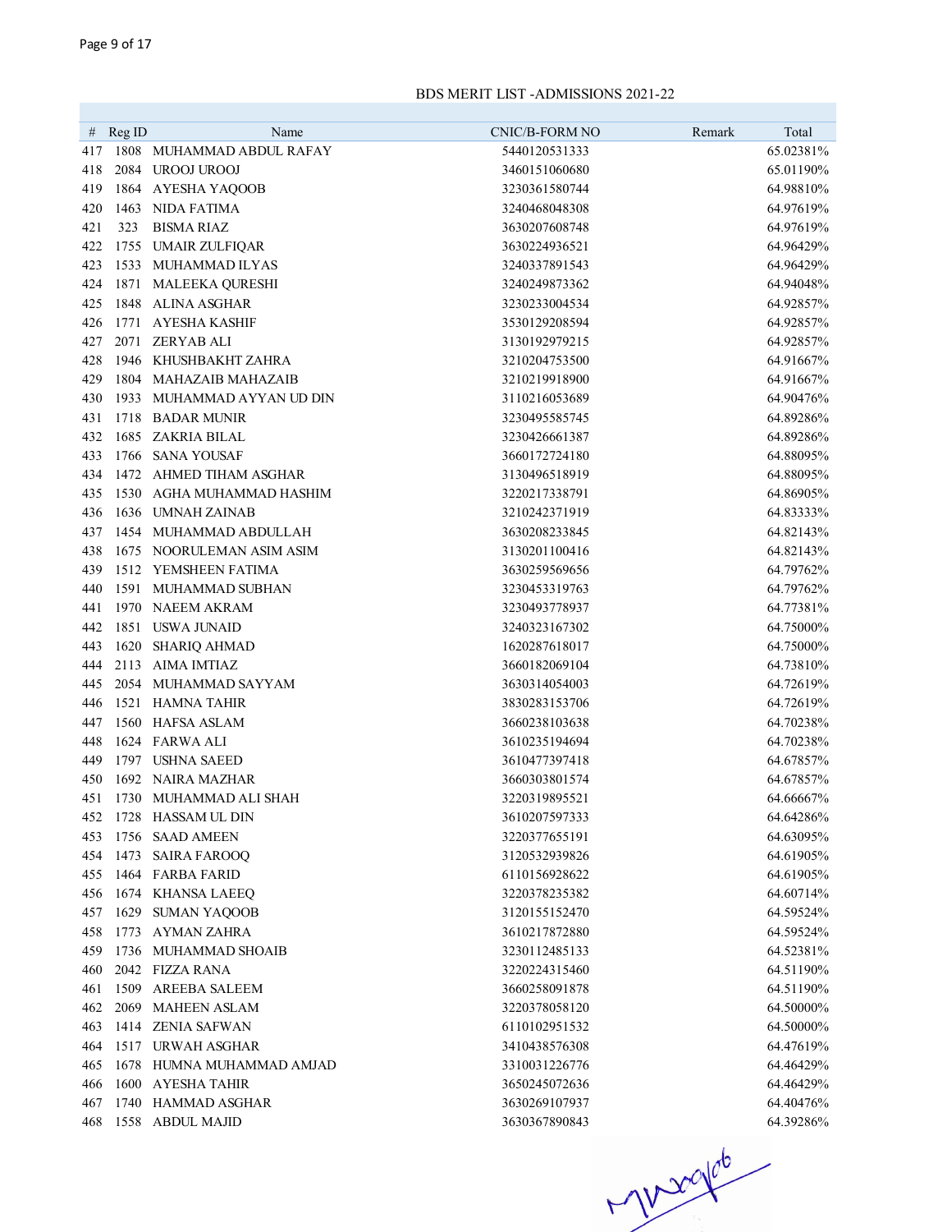| #          | RegID | Name                                  | CNIC/B-FORM NO                 | Remark<br>Total        |
|------------|-------|---------------------------------------|--------------------------------|------------------------|
| 417        |       | 1808 MUHAMMAD ABDUL RAFAY             | 5440120531333                  | 65.02381%              |
| 418        |       | 2084 UROOJ UROOJ                      | 3460151060680                  | 65.01190%              |
| 419        |       | 1864 AYESHA YAQOOB                    | 3230361580744                  | 64.98810%              |
| 420        |       | 1463 NIDA FATIMA                      | 3240468048308                  | 64.97619%              |
| 421        | 323   | <b>BISMA RIAZ</b>                     | 3630207608748                  | 64.97619%              |
| 422        | 1755  | UMAIR ZULFIQAR                        | 3630224936521                  | 64.96429%              |
| 423        | 1533  | MUHAMMAD ILYAS                        | 3240337891543                  | 64.96429%              |
| 424        | 1871  | <b>MALEEKA QURESHI</b>                | 3240249873362                  | 64.94048%              |
| 425        | 1848  | ALINA ASGHAR                          | 3230233004534                  | 64.92857%              |
| 426        | 1771  | <b>AYESHA KASHIF</b>                  | 3530129208594                  | 64.92857%              |
| 427        | 2071  | <b>ZERYAB ALI</b>                     | 3130192979215                  | 64.92857%              |
| 428        | 1946  | KHUSHBAKHT ZAHRA                      | 3210204753500                  | 64.91667%              |
| 429        | 1804  | <b>MAHAZAIB MAHAZAIB</b>              | 3210219918900                  | 64.91667%              |
| 430        |       | 1933 MUHAMMAD AYYAN UD DIN            | 3110216053689                  | 64.90476%              |
| 431        | 1718  | <b>BADAR MUNIR</b>                    | 3230495585745                  | 64.89286%              |
| 432        | 1685  | ZAKRIA BILAL                          | 3230426661387                  | 64.89286%              |
| 433        | 1766  | SANA YOUSAF                           | 3660172724180                  | 64.88095%              |
| 434        |       | 1472 AHMED TIHAM ASGHAR               | 3130496518919                  | 64.88095%              |
| 435        | 1530  | AGHA MUHAMMAD HASHIM                  | 3220217338791                  | 64.86905%              |
| 436        | 1636  | <b>UMNAH ZAINAB</b>                   | 3210242371919                  | 64.83333%              |
| 437        | 1454  | MUHAMMAD ABDULLAH                     | 3630208233845                  | 64.82143%              |
| 438        |       | 1675 NOORULEMAN ASIM ASIM             | 3130201100416                  | 64.82143%              |
| 439        |       | 1512 YEMSHEEN FATIMA                  | 3630259569656                  | 64.79762%              |
| 440        |       | 1591 MUHAMMAD SUBHAN                  | 3230453319763                  | 64.79762%              |
| 441        |       | 1970 NAEEM AKRAM                      | 3230493778937                  | 64.77381%              |
| 442        |       | 1851 USWA JUNAID                      | 3240323167302                  | 64.75000%              |
| 443        | 1620  | SHARIQ AHMAD                          | 1620287618017                  | 64.75000%              |
| 444        |       | 2113 AIMA IMTIAZ                      | 3660182069104                  | 64.73810%              |
| 445        |       | 2054 MUHAMMAD SAYYAM                  | 3630314054003                  | 64.72619%              |
| 446        |       | 1521 HAMNA TAHIR                      | 3830283153706                  | 64.72619%              |
| 447        |       | 1560 HAFSA ASLAM                      | 3660238103638                  | 64.70238%              |
| 448        |       | 1624 FARWA ALI                        | 3610235194694                  | 64.70238%              |
| 449        |       | 1797 USHNA SAEED                      | 3610477397418                  | 64.67857%              |
| 450        |       | 1692 NAIRA MAZHAR                     | 3660303801574                  | 64.67857%              |
| 451        |       | 1730 MUHAMMAD ALI SHAH                | 3220319895521                  | 64.66667%              |
| 452        |       | 1728 HASSAM UL DIN                    | 3610207597333                  | 64.64286%              |
| 453        | 1756  | <b>SAAD AMEEN</b>                     | 3220377655191                  | 64.63095%              |
| 454        | 1473  | <b>SAIRA FAROOQ</b>                   | 3120532939826                  | 64.61905%              |
| 455        |       | 1464 FARBA FARID                      | 6110156928622                  | 64.61905%              |
| 456        |       | 1674 KHANSA LAEEQ                     | 3220378235382                  | 64.60714%              |
| 457        |       | 1629 SUMAN YAQOOB<br>1773 AYMAN ZAHRA | 3120155152470                  | 64.59524%<br>64.59524% |
| 458        |       | 1736 MUHAMMAD SHOAIB                  | 3610217872880<br>3230112485133 | 64.52381%              |
| 459<br>460 |       | 2042 FIZZA RANA                       | 3220224315460                  | 64.51190%              |
| 461        | 1509  | <b>AREEBA SALEEM</b>                  | 3660258091878                  | 64.51190%              |
| 462        | 2069  | <b>MAHEEN ASLAM</b>                   | 3220378058120                  | 64.50000%              |
| 463        |       | 1414 ZENIA SAFWAN                     | 6110102951532                  | 64.50000%              |
| 464        |       | 1517 URWAH ASGHAR                     | 3410438576308                  | 64.47619%              |
| 465        |       | 1678 HUMNA MUHAMMAD AMJAD             | 3310031226776                  | 64.46429%              |
| 466        |       | 1600 AYESHA TAHIR                     | 3650245072636                  | 64.46429%              |
| 467        |       | 1740 HAMMAD ASGHAR                    | 3630269107937                  | 64.40476%              |
| 468        |       | 1558 ABDUL MAJID                      | 3630367890843                  | 64.39286%              |
|            |       |                                       |                                |                        |

 $406 - 363$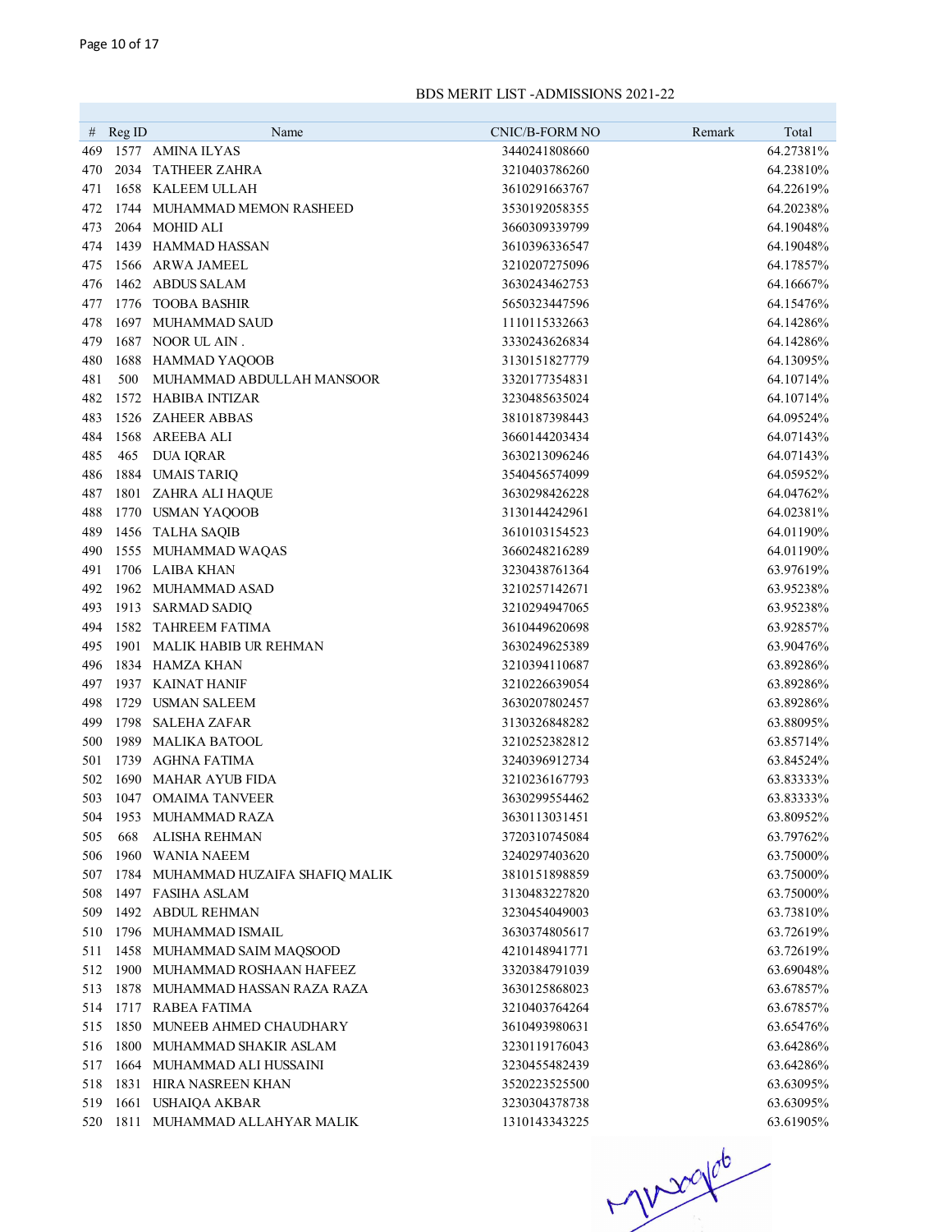| #          | Reg ID | Name                                    | CNIC/B-FORM NO                 | Remark | Total     |
|------------|--------|-----------------------------------------|--------------------------------|--------|-----------|
| 469        |        | 1577 AMINA ILYAS                        | 3440241808660                  |        | 64.27381% |
| 470        | 2034   | <b>TATHEER ZAHRA</b>                    | 3210403786260                  |        | 64.23810% |
| 471        |        | 1658 KALEEM ULLAH                       | 3610291663767                  |        | 64.22619% |
| 472        |        | 1744 MUHAMMAD MEMON RASHEED             | 3530192058355                  |        | 64.20238% |
| 473        |        | 2064 MOHID ALI                          | 3660309339799                  |        | 64.19048% |
| 474        |        | 1439 HAMMAD HASSAN                      | 3610396336547                  |        | 64.19048% |
| 475        |        | 1566 ARWA JAMEEL                        | 3210207275096                  |        | 64.17857% |
| 476        |        | 1462 ABDUS SALAM                        | 3630243462753                  |        | 64.16667% |
| 477        | 1776   | <b>TOOBA BASHIR</b>                     | 5650323447596                  |        | 64.15476% |
| 478        |        | 1697 MUHAMMAD SAUD                      | 1110115332663                  |        | 64.14286% |
| 479        |        | 1687 NOOR UL AIN.                       | 3330243626834                  |        | 64.14286% |
| 480        |        | 1688 HAMMAD YAQOOB                      | 3130151827779                  |        | 64.13095% |
| 481        | 500    | MUHAMMAD ABDULLAH MANSOOR               | 3320177354831                  |        | 64.10714% |
| 482        |        | 1572 HABIBA INTIZAR                     | 3230485635024                  |        | 64.10714% |
| 483        |        | 1526 ZAHEER ABBAS                       | 3810187398443                  |        | 64.09524% |
| 484        | 1568   | AREEBA ALI                              | 3660144203434                  |        | 64.07143% |
| 485        | 465    | <b>DUA IQRAR</b>                        | 3630213096246                  |        | 64.07143% |
| 486        |        | 1884 UMAIS TARIQ                        | 3540456574099                  |        | 64.05952% |
| 487        |        | 1801 ZAHRA ALI HAQUE                    | 3630298426228                  |        | 64.04762% |
| 488        |        |                                         | 3130144242961                  |        | 64.02381% |
|            |        | 1770 USMAN YAQOOB                       |                                |        | 64.01190% |
| 489<br>490 |        | 1456 TALHA SAQIB<br>1555 MUHAMMAD WAQAS | 3610103154523<br>3660248216289 |        | 64.01190% |
|            |        | 1706 LAIBA KHAN                         | 3230438761364                  |        |           |
| 491        |        |                                         |                                |        | 63.97619% |
| 492        |        | 1962 MUHAMMAD ASAD                      | 3210257142671                  |        | 63.95238% |
| 493        |        | 1913 SARMAD SADIQ                       | 3210294947065                  |        | 63.95238% |
| 494        |        | 1582 TAHREEM FATIMA                     | 3610449620698                  |        | 63.92857% |
| 495        |        | 1901 MALIK HABIB UR REHMAN              | 3630249625389                  |        | 63.90476% |
| 496        |        | 1834 HAMZA KHAN                         | 3210394110687                  |        | 63.89286% |
| 497        |        | 1937 KAINAT HANIF                       | 3210226639054                  |        | 63.89286% |
| 498        | 1729   | USMAN SALEEM<br><b>SALEHA ZAFAR</b>     | 3630207802457                  |        | 63.89286% |
| 499        | 1798   |                                         | 3130326848282                  |        | 63.88095% |
| 500        | 1989   | <b>MALIKA BATOOL</b>                    | 3210252382812                  |        | 63.85714% |
| 501        | 1739   | AGHNA FATIMA                            | 3240396912734                  |        | 63.84524% |
| 502        | 1690   | <b>MAHAR AYUB FIDA</b>                  | 3210236167793                  |        | 63.83333% |
| 503        |        | 1047 OMAIMA TANVEER                     | 3630299554462                  |        | 63.83333% |
| 504        |        | 1953 MUHAMMAD RAZA                      | 3630113031451                  |        | 63.80952% |
| 505        | 668    | <b>ALISHA REHMAN</b>                    | 3720310745084                  |        | 63.79762% |
| 506        |        | 1960 WANIA NAEEM                        | 3240297403620                  |        | 63.75000% |
| 507        |        | 1784 MUHAMMAD HUZAIFA SHAFIQ MALIK      | 3810151898859                  |        | 63.75000% |
| 508        |        | 1497 FASIHA ASLAM                       | 3130483227820                  |        | 63.75000% |
| 509        |        | 1492 ABDUL REHMAN                       | 3230454049003                  |        | 63.73810% |
| 510        |        | 1796 MUHAMMAD ISMAIL                    | 3630374805617                  |        | 63.72619% |
| 511        |        | 1458 MUHAMMAD SAIM MAQSOOD              | 4210148941771                  |        | 63.72619% |
| 512        |        | 1900 MUHAMMAD ROSHAAN HAFEEZ            | 3320384791039                  |        | 63.69048% |
| 513        |        | 1878 MUHAMMAD HASSAN RAZA RAZA          | 3630125868023                  |        | 63.67857% |
| 514        |        | 1717 RABEA FATIMA                       | 3210403764264                  |        | 63.67857% |
| 515        |        | 1850 MUNEEB AHMED CHAUDHARY             | 3610493980631                  |        | 63.65476% |
| 516        |        | 1800 MUHAMMAD SHAKIR ASLAM              | 3230119176043                  |        | 63.64286% |
| 517        |        | 1664 MUHAMMAD ALI HUSSAINI              | 3230455482439                  |        | 63.64286% |
| 518        |        | 1831 HIRA NASREEN KHAN                  | 3520223525500                  |        | 63.63095% |
| 519        |        | 1661 USHAIQA AKBAR                      | 3230304378738                  |        | 63.63095% |
| 520        |        | 1811 MUHAMMAD ALLAHYAR MALIK            | 1310143343225                  |        | 63.61905% |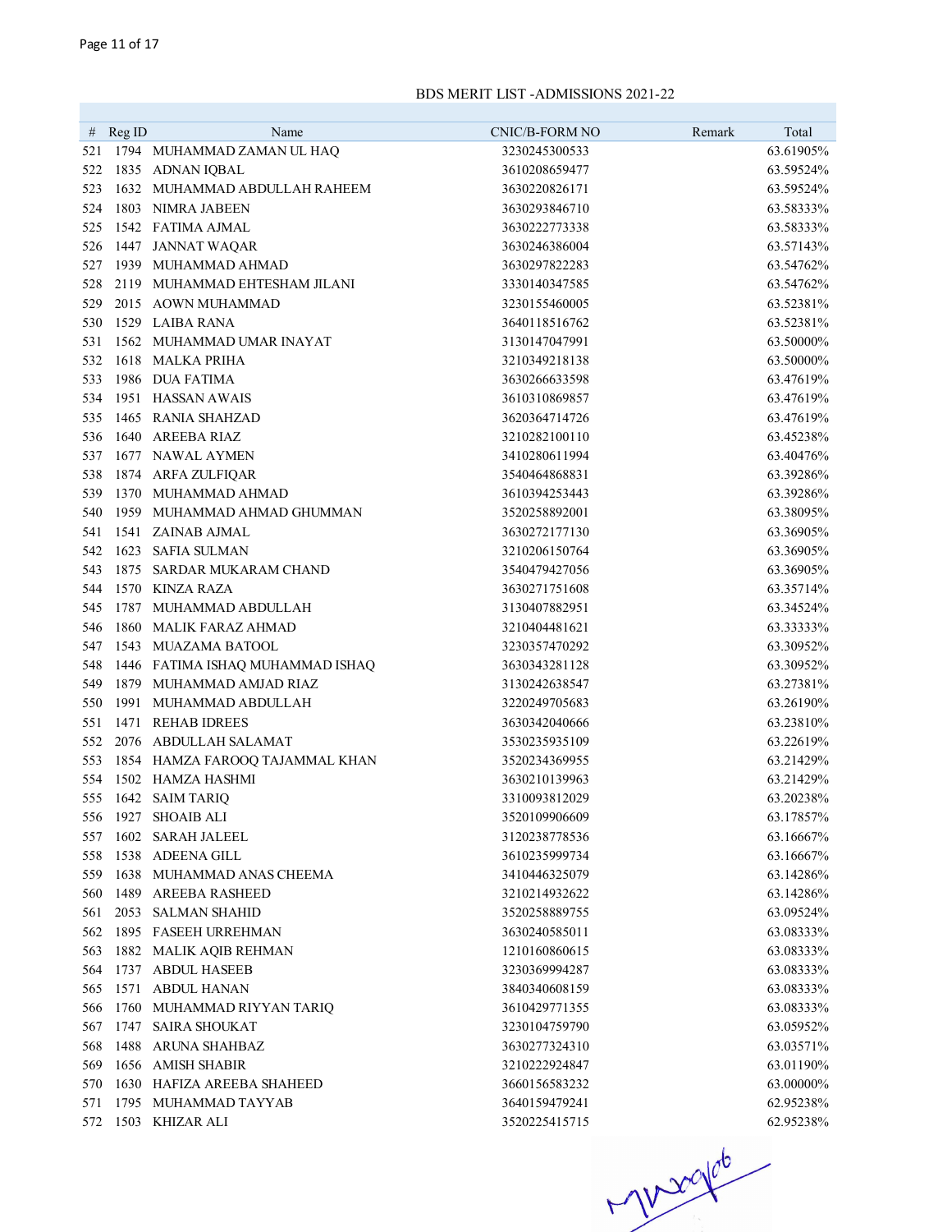|            | # $RegID$ | Name                             | CNIC/B-FORM NO | Remark | Total     |
|------------|-----------|----------------------------------|----------------|--------|-----------|
| 521        |           | 1794 MUHAMMAD ZAMAN UL HAQ       | 3230245300533  |        | 63.61905% |
| 522        |           | 1835 ADNAN IQBAL                 | 3610208659477  |        | 63.59524% |
| 523        |           | 1632 MUHAMMAD ABDULLAH RAHEEM    | 3630220826171  |        | 63.59524% |
| 524        |           | 1803 NIMRA JABEEN                | 3630293846710  |        | 63.58333% |
| 525        |           | 1542 FATIMA AJMAL                | 3630222773338  |        | 63.58333% |
| 526        |           | 1447 JANNAT WAQAR                | 3630246386004  |        | 63.57143% |
| 527        |           | 1939 MUHAMMAD AHMAD              | 3630297822283  |        | 63.54762% |
| 528        |           | 2119 MUHAMMAD EHTESHAM JILANI    | 3330140347585  |        | 63.54762% |
| 529        |           | 2015 AOWN MUHAMMAD               | 3230155460005  |        | 63.52381% |
| 530        |           | 1529 LAIBA RANA                  | 3640118516762  |        | 63.52381% |
| 531        |           | 1562 MUHAMMAD UMAR INAYAT        | 3130147047991  |        | 63.50000% |
| 532        |           | 1618 MALKA PRIHA                 | 3210349218138  |        | 63.50000% |
| 533        |           | 1986 DUA FATIMA                  | 3630266633598  |        | 63.47619% |
| 534        |           | 1951 HASSAN AWAIS                | 3610310869857  |        | 63.47619% |
|            |           | 1465 RANIA SHAHZAD               | 3620364714726  |        | 63.47619% |
| 535<br>536 |           | 1640 AREEBA RIAZ                 | 3210282100110  |        | 63.45238% |
|            |           | 1677 NAWAL AYMEN                 |                |        |           |
| 537        |           |                                  | 3410280611994  |        | 63.40476% |
| 538        |           | 1874 ARFA ZULFIQAR               | 3540464868831  |        | 63.39286% |
| 539        |           | 1370 MUHAMMAD AHMAD              | 3610394253443  |        | 63.39286% |
| 540        |           | 1959 MUHAMMAD AHMAD GHUMMAN      | 3520258892001  |        | 63.38095% |
| 541        |           | 1541 ZAINAB AJMAL                | 3630272177130  |        | 63.36905% |
| 542        |           | 1623 SAFIA SULMAN                | 3210206150764  |        | 63.36905% |
| 543        |           | 1875 SARDAR MUKARAM CHAND        | 3540479427056  |        | 63.36905% |
| 544        |           | 1570 KINZA RAZA                  | 3630271751608  |        | 63.35714% |
| 545        |           | 1787 MUHAMMAD ABDULLAH           | 3130407882951  |        | 63.34524% |
| 546        |           | 1860 MALIK FARAZ AHMAD           | 3210404481621  |        | 63.33333% |
| 547        |           | 1543 MUAZAMA BATOOL              | 3230357470292  |        | 63.30952% |
| 548        |           | 1446 FATIMA ISHAQ MUHAMMAD ISHAQ | 3630343281128  |        | 63.30952% |
| 549        |           | 1879 MUHAMMAD AMJAD RIAZ         | 3130242638547  |        | 63.27381% |
| 550        |           | 1991 MUHAMMAD ABDULLAH           | 3220249705683  |        | 63.26190% |
| 551        |           | 1471 REHAB IDREES                | 3630342040666  |        | 63.23810% |
| 552        |           | 2076 ABDULLAH SALAMAT            | 3530235935109  |        | 63.22619% |
| 553        |           | 1854 HAMZA FAROOQ TAJAMMAL KHAN  | 3520234369955  |        | 63.21429% |
| 554        |           | 1502 HAMZA HASHMI                | 3630210139963  |        | 63.21429% |
|            |           | 555 1642 SAIM TARIQ              | 3310093812029  |        | 63.20238% |
| 556        |           | 1927 SHOAIB ALI                  | 3520109906609  |        | 63.17857% |
| 557        |           | 1602 SARAH JALEEL                | 3120238778536  |        | 63.16667% |
| 558        |           | 1538 ADEENA GILL                 | 3610235999734  |        | 63.16667% |
| 559        |           | 1638 MUHAMMAD ANAS CHEEMA        | 3410446325079  |        | 63.14286% |
| 560        |           | 1489 AREEBA RASHEED              | 3210214932622  |        | 63.14286% |
| 561        |           | 2053 SALMAN SHAHID               | 3520258889755  |        | 63.09524% |
| 562        |           | 1895 FASEEH URREHMAN             | 3630240585011  |        | 63.08333% |
| 563        |           | 1882 MALIK AQIB REHMAN           | 1210160860615  |        | 63.08333% |
| 564        |           | 1737 ABDUL HASEEB                | 3230369994287  |        | 63.08333% |
| 565        |           | 1571 ABDUL HANAN                 | 3840340608159  |        | 63.08333% |
| 566        |           | 1760 MUHAMMAD RIYYAN TARIQ       | 3610429771355  |        | 63.08333% |
| 567        |           | 1747 SAIRA SHOUKAT               | 3230104759790  |        | 63.05952% |
| 568        |           | 1488 ARUNA SHAHBAZ               | 3630277324310  |        | 63.03571% |
| 569        |           | 1656 AMISH SHABIR                | 3210222924847  |        | 63.01190% |
| 570        |           | 1630 HAFIZA AREEBA SHAHEED       | 3660156583232  |        | 63.00000% |
| 571        |           | 1795 MUHAMMAD TAYYAB             | 3640159479241  |        | 62.95238% |
|            |           | 572 1503 KHIZAR ALI              | 3520225415715  |        | 62.95238% |

 $-7000000$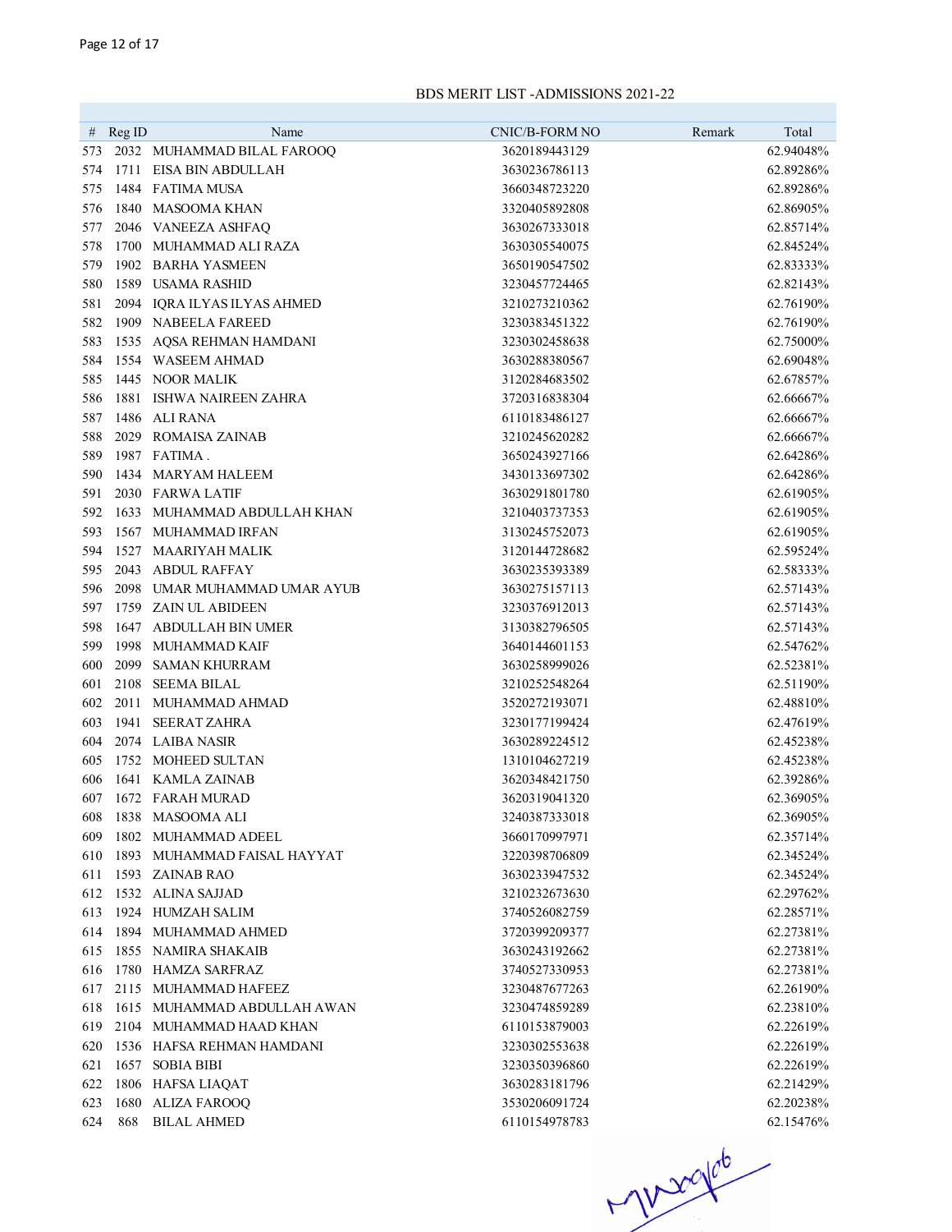|          |        | Name                         | CNIC/B-FORM NO | Remark | Total     |
|----------|--------|------------------------------|----------------|--------|-----------|
| #<br>573 | Reg ID | 2032 MUHAMMAD BILAL FAROOQ   | 3620189443129  |        | 62.94048% |
| 574      |        | 1711 EISA BIN ABDULLAH       | 3630236786113  |        | 62.89286% |
| 575      |        | 1484 FATIMA MUSA             | 3660348723220  |        | 62.89286% |
| 576      |        | 1840 MASOOMA KHAN            | 3320405892808  |        | 62.86905% |
| 577      |        | 2046 VANEEZA ASHFAQ          | 3630267333018  |        | 62.85714% |
| 578      |        | 1700 MUHAMMAD ALI RAZA       | 3630305540075  |        | 62.84524% |
| 579      |        | 1902 BARHA YASMEEN           | 3650190547502  |        | 62.83333% |
| 580      |        | 1589 USAMA RASHID            | 3230457724465  |        | 62.82143% |
| 581      |        | 2094 IQRA ILYAS ILYAS AHMED  | 3210273210362  |        | 62.76190% |
| 582      |        | 1909 NABEELA FAREED          | 3230383451322  |        | 62.76190% |
| 583      |        | 1535 AQSA REHMAN HAMDANI     | 3230302458638  |        | 62.75000% |
| 584      |        | 1554 WASEEM AHMAD            | 3630288380567  |        | 62.69048% |
| 585      |        | 1445 NOOR MALIK              | 3120284683502  |        | 62.67857% |
| 586      |        | 1881 ISHWA NAIREEN ZAHRA     | 3720316838304  |        | 62.66667% |
| 587      |        | 1486 ALI RANA                | 6110183486127  |        | 62.66667% |
| 588      |        | 2029 ROMAISA ZAINAB          | 3210245620282  |        | 62.66667% |
| 589      |        | 1987 FATIMA.                 | 3650243927166  |        | 62.64286% |
| 590      |        | 1434 MARYAM HALEEM           | 3430133697302  |        | 62.64286% |
| 591      |        | 2030 FARWA LATIF             | 3630291801780  |        | 62.61905% |
| 592      |        | 1633 MUHAMMAD ABDULLAH KHAN  | 3210403737353  |        | 62.61905% |
| 593      |        | 1567 MUHAMMAD IRFAN          | 3130245752073  |        | 62.61905% |
| 594      |        | 1527 MAARIYAH MALIK          | 3120144728682  |        | 62.59524% |
| 595      |        | 2043 ABDUL RAFFAY            | 3630235393389  |        | 62.58333% |
| 596      |        | 2098 UMAR MUHAMMAD UMAR AYUB | 3630275157113  |        | 62.57143% |
| 597      |        | 1759 ZAIN UL ABIDEEN         | 3230376912013  |        | 62.57143% |
| 598      |        | 1647 ABDULLAH BIN UMER       | 3130382796505  |        | 62.57143% |
| 599      |        | 1998 MUHAMMAD KAIF           | 3640144601153  |        | 62.54762% |
| 600      |        | 2099 SAMAN KHURRAM           | 3630258999026  |        | 62.52381% |
| 601      |        | 2108 SEEMA BILAL             | 3210252548264  |        | 62.51190% |
| 602      |        | 2011 MUHAMMAD AHMAD          | 3520272193071  |        | 62.48810% |
| 603      |        | 1941 SEERAT ZAHRA            | 3230177199424  |        | 62.47619% |
| 604      |        | 2074 LAIBA NASIR             | 3630289224512  |        | 62.45238% |
| 605      |        | 1752 MOHEED SULTAN           | 1310104627219  |        | 62.45238% |
| 606      |        | 1641 KAMLA ZAINAB            | 3620348421750  |        | 62.39286% |
| 607      |        | 1672 FARAH MURAD             | 3620319041320  |        | 62.36905% |
| 608      |        | 1838 MASOOMA ALI             | 3240387333018  |        | 62.36905% |
| 609      |        | 1802 MUHAMMAD ADEEL          | 3660170997971  |        | 62.35714% |
| 610      |        | 1893 MUHAMMAD FAISAL HAYYAT  | 3220398706809  |        | 62.34524% |
| 611      |        | 1593 ZAINAB RAO              | 3630233947532  |        | 62.34524% |
| 612      |        | 1532 ALINA SAJJAD            | 3210232673630  |        | 62.29762% |
| 613      |        | 1924 HUMZAH SALIM            | 3740526082759  |        | 62.28571% |
| 614      |        | 1894 MUHAMMAD AHMED          | 3720399209377  |        | 62.27381% |
| 615      |        | 1855 NAMIRA SHAKAIB          | 3630243192662  |        | 62.27381% |
| 616      |        | 1780 HAMZA SARFRAZ           | 3740527330953  |        | 62.27381% |
| 617      |        | 2115 MUHAMMAD HAFEEZ         | 3230487677263  |        | 62.26190% |
| 618      |        | 1615 MUHAMMAD ABDULLAH AWAN  | 3230474859289  |        | 62.23810% |
| 619      |        | 2104 MUHAMMAD HAAD KHAN      | 6110153879003  |        | 62.22619% |
| 620      |        | 1536 HAFSA REHMAN HAMDANI    | 3230302553638  |        | 62.22619% |
| 621      |        | 1657 SOBIA BIBI              | 3230350396860  |        | 62.22619% |
| 622      |        | 1806 HAFSA LIAQAT            | 3630283181796  |        | 62.21429% |
| 623      |        | 1680 ALIZA FAROOQ            | 3530206091724  |        | 62.20238% |
| 624      |        | 868 BILAL AHMED              | 6110154978783  |        | 62.15476% |

 $H^{1200106}$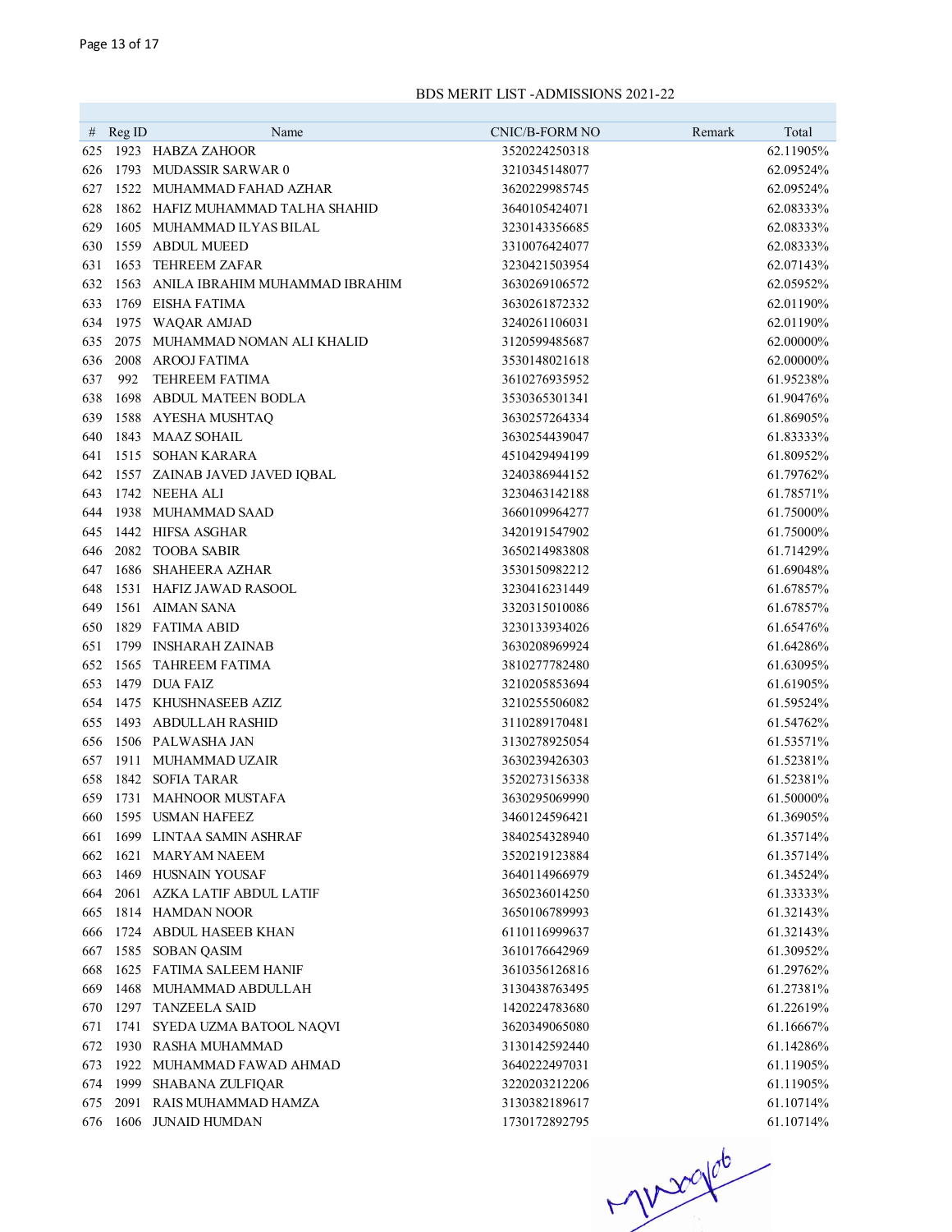|     | # $RegID$ | Name                                               | CNIC/B-FORM NO | Remark | Total      |
|-----|-----------|----------------------------------------------------|----------------|--------|------------|
| 625 |           | 1923 HABZA ZAHOOR                                  | 3520224250318  |        | 62.11905%  |
| 626 |           | 1793 MUDASSIR SARWAR 0                             | 3210345148077  |        | 62.09524%  |
| 627 |           | 1522 MUHAMMAD FAHAD AZHAR                          | 3620229985745  |        | 62.09524%  |
| 628 |           | 1862 HAFIZ MUHAMMAD TALHA SHAHID                   | 3640105424071  |        | 62.08333%  |
| 629 |           | 1605 MUHAMMAD ILYAS BILAL                          | 3230143356685  |        | 62.08333%  |
| 630 |           | 1559 ABDUL MUEED                                   | 3310076424077  |        | 62.08333%  |
| 631 | 1653      | TEHREEM ZAFAR                                      | 3230421503954  |        | 62.07143%  |
| 632 |           | 1563 ANILA IBRAHIM MUHAMMAD IBRAHIM                | 3630269106572  |        | 62.05952%  |
|     |           | 1769 EISHA FATIMA                                  |                |        |            |
| 633 |           |                                                    | 3630261872332  |        | 62.01190%  |
| 634 |           | 1975 WAQAR AMJAD<br>2075 MUHAMMAD NOMAN ALI KHALID | 3240261106031  |        | 62.01190%  |
| 635 |           |                                                    | 3120599485687  |        | 62.00000%  |
| 636 |           | 2008 AROOJ FATIMA                                  | 3530148021618  |        | 62.00000%  |
| 637 | 992       | <b>TEHREEM FATIMA</b>                              | 3610276935952  |        | 61.95238%  |
| 638 |           | 1698 ABDUL MATEEN BODLA                            | 3530365301341  |        | 61.90476%  |
| 639 |           | 1588 AYESHA MUSHTAQ                                | 3630257264334  |        | 61.86905%  |
| 640 |           | 1843 MAAZ SOHAIL                                   | 3630254439047  |        | 61.83333%  |
| 641 |           | 1515 SOHAN KARARA                                  | 4510429494199  |        | 61.80952%  |
| 642 |           | 1557 ZAINAB JAVED JAVED IQBAL                      | 3240386944152  |        | 61.79762%  |
| 643 |           | 1742 NEEHA ALI                                     | 3230463142188  |        | 61.78571%  |
| 644 |           | 1938 MUHAMMAD SAAD                                 | 3660109964277  |        | 61.75000%  |
| 645 |           | 1442 HIFSA ASGHAR                                  | 3420191547902  |        | 61.75000%  |
| 646 |           | 2082 TOOBA SABIR                                   | 3650214983808  |        | 61.71429%  |
| 647 |           | 1686 SHAHEERA AZHAR                                | 3530150982212  |        | 61.69048%  |
| 648 |           | 1531 HAFIZ JAWAD RASOOL                            | 3230416231449  |        | 61.67857%  |
| 649 |           | 1561 AIMAN SANA                                    | 3320315010086  |        | 61.67857%  |
| 650 |           | 1829 FATIMA ABID                                   | 3230133934026  |        | 61.65476%  |
| 651 |           | 1799 INSHARAH ZAINAB                               | 3630208969924  |        | 61.64286%  |
| 652 |           | 1565 TAHREEM FATIMA                                | 3810277782480  |        | 61.63095%  |
| 653 |           | 1479 DUA FAIZ                                      | 3210205853694  |        | 61.61905%  |
| 654 |           | 1475 KHUSHNASEEB AZIZ                              | 3210255506082  |        | 61.59524%  |
| 655 |           | 1493 ABDULLAH RASHID                               | 3110289170481  |        | 61.54762%  |
| 656 |           | 1506 PALWASHA JAN                                  | 3130278925054  |        | 61.53571%  |
| 657 |           | 1911 MUHAMMAD UZAIR                                | 3630239426303  |        | 61.52381%  |
| 658 |           | 1842 SOFIA TARAR                                   | 3520273156338  |        | 61.52381%  |
| 659 |           | 1731 MAHNOOR MUSTAFA                               | 3630295069990  |        | 61.50000%  |
| 660 |           | 1595 USMAN HAFEEZ                                  | 3460124596421  |        | 61.36905%  |
| 661 |           | 1699 LINTAA SAMIN ASHRAF                           | 3840254328940  |        | 61.35714\% |
| 662 |           | 1621 MARYAM NAEEM                                  | 3520219123884  |        | 61.35714%  |
| 663 |           | 1469 HUSNAIN YOUSAF                                | 3640114966979  |        | 61.34524%  |
| 664 |           | 2061 AZKA LATIF ABDUL LATIF                        | 3650236014250  |        | 61.33333%  |
| 665 |           | 1814 HAMDAN NOOR                                   | 3650106789993  |        | 61.32143%  |
| 666 |           | 1724 ABDUL HASEEB KHAN                             | 6110116999637  |        | 61.32143%  |
| 667 |           | 1585 SOBAN QASIM                                   | 3610176642969  |        | 61.30952%  |
| 668 |           | 1625 FATIMA SALEEM HANIF                           | 3610356126816  |        | 61.29762%  |
| 669 |           | 1468 MUHAMMAD ABDULLAH                             | 3130438763495  |        | 61.27381%  |
| 670 |           | 1297 TANZEELA SAID                                 | 1420224783680  |        | 61.22619%  |
| 671 |           | 1741 SYEDA UZMA BATOOL NAQVI                       | 3620349065080  |        | 61.16667%  |
| 672 |           | 1930 RASHA MUHAMMAD                                | 3130142592440  |        | 61.14286%  |
| 673 |           | 1922 MUHAMMAD FAWAD AHMAD                          | 3640222497031  |        | 61.11905%  |
| 674 |           | 1999 SHABANA ZULFIQAR                              | 3220203212206  |        | 61.11905%  |
| 675 |           | 2091 RAIS MUHAMMAD HAMZA                           | 3130382189617  |        | 61.10714%  |
| 676 |           | 1606 JUNAID HUMDAN                                 | 1730172892795  |        | 61.10714%  |

 $H1200106$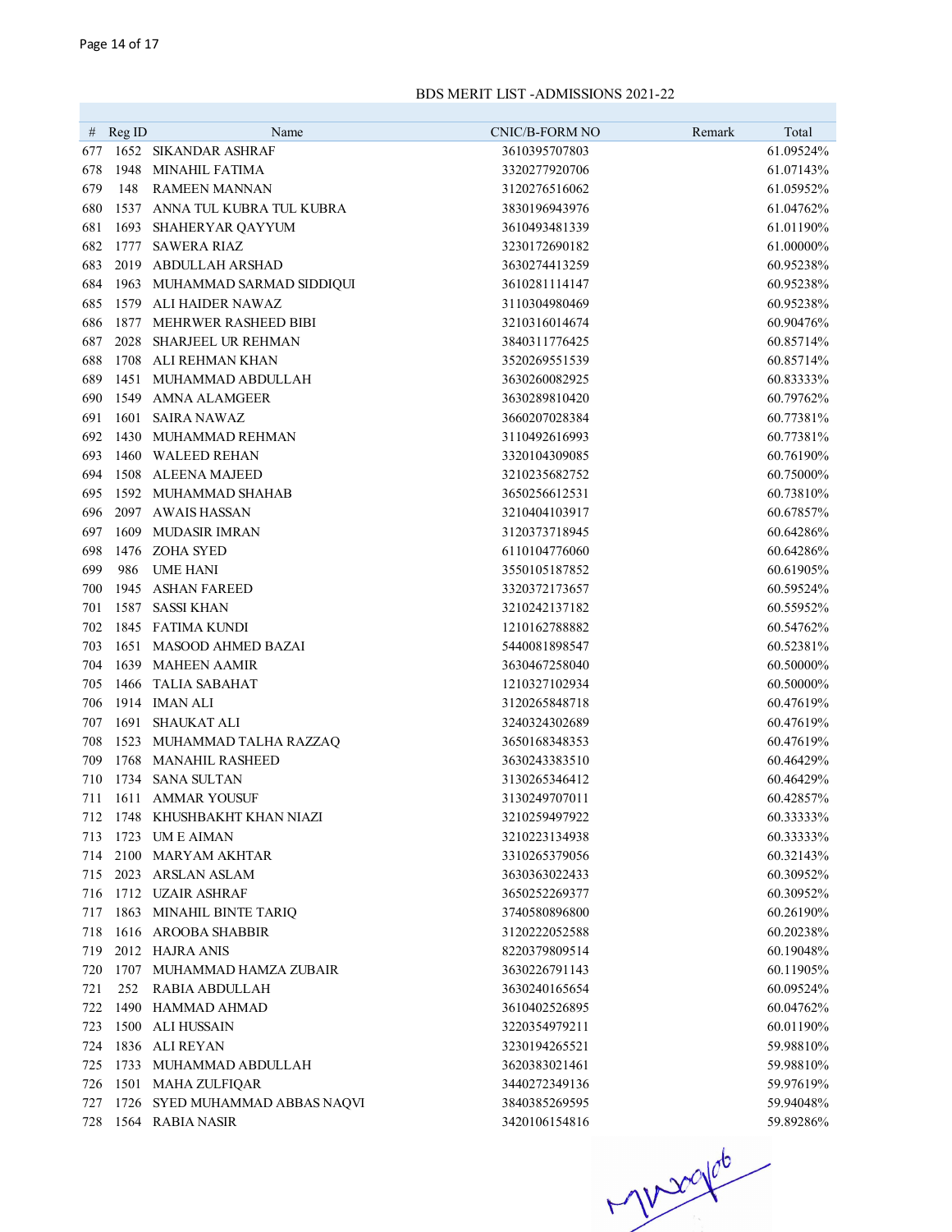| #   | Reg ID | Name                           | <b>CNIC/B-FORM NO</b> | Remark<br>Total |
|-----|--------|--------------------------------|-----------------------|-----------------|
| 677 |        | 1652 SIKANDAR ASHRAF           | 3610395707803         | 61.09524%       |
| 678 |        | 1948 MINAHIL FATIMA            | 3320277920706         | 61.07143%       |
| 679 | 148    | <b>RAMEEN MANNAN</b>           | 3120276516062         | 61.05952%       |
| 680 |        | 1537 ANNA TUL KUBRA TUL KUBRA  | 3830196943976         | 61.04762%       |
| 681 |        | 1693 SHAHERYAR QAYYUM          | 3610493481339         | 61.01190%       |
| 682 | 1777   | SAWERA RIAZ                    | 3230172690182         | 61.00000%       |
| 683 | 2019   | ABDULLAH ARSHAD                | 3630274413259         | 60.95238%       |
| 684 |        | 1963 MUHAMMAD SARMAD SIDDIQUI  | 3610281114147         | 60.95238%       |
| 685 | 1579   | ALI HAIDER NAWAZ               | 3110304980469         | 60.95238%       |
| 686 |        | 1877 MEHRWER RASHEED BIBI      | 3210316014674         | 60.90476%       |
| 687 |        | 2028 SHARJEEL UR REHMAN        | 3840311776425         | 60.85714%       |
| 688 | 1708   | ALI REHMAN KHAN                | 3520269551539         | 60.85714%       |
| 689 |        | 1451 MUHAMMAD ABDULLAH         | 3630260082925         | 60.83333%       |
| 690 |        | 1549 AMNA ALAMGEER             | 3630289810420         | 60.79762%       |
| 691 | 1601   | <b>SAIRA NAWAZ</b>             | 3660207028384         | 60.77381%       |
| 692 |        | 1430 MUHAMMAD REHMAN           | 3110492616993         | 60.77381%       |
| 693 |        | 1460 WALEED REHAN              | 3320104309085         | 60.76190%       |
| 694 |        | 1508 ALEENA MAJEED             | 3210235682752         | 60.75000%       |
| 695 |        | 1592 MUHAMMAD SHAHAB           | 3650256612531         | 60.73810%       |
| 696 |        | 2097 AWAIS HASSAN              | 3210404103917         | 60.67857%       |
| 697 |        | 1609 MUDASIR IMRAN             | 3120373718945         | 60.64286%       |
| 698 |        | 1476 ZOHA SYED                 | 6110104776060         | 60.64286%       |
| 699 | 986    | <b>UME HANI</b>                | 3550105187852         | 60.61905%       |
| 700 |        | 1945 ASHAN FAREED              | 3320372173657         | 60.59524%       |
| 701 |        | 1587 SASSI KHAN                | 3210242137182         | 60.55952%       |
| 702 |        | 1845 FATIMA KUNDI              | 1210162788882         | 60.54762%       |
| 703 |        | 1651 MASOOD AHMED BAZAI        | 5440081898547         | 60.52381%       |
| 704 |        | 1639 MAHEEN AAMIR              | 3630467258040         | 60.50000%       |
| 705 |        | 1466 TALIA SABAHAT             | 1210327102934         | 60.50000%       |
| 706 |        | 1914 IMAN ALI                  | 3120265848718         | 60.47619%       |
| 707 |        | 1691 SHAUKAT ALI               | 3240324302689         | 60.47619%       |
| 708 |        | 1523 MUHAMMAD TALHA RAZZAQ     | 3650168348353         | 60.47619%       |
| 709 |        | 1768 MANAHIL RASHEED           | 3630243383510         | 60.46429%       |
| 710 |        | 1734 SANA SULTAN               | 3130265346412         | 60.46429%       |
| 711 |        | 1611 AMMAR YOUSUF              | 3130249707011         | 60.42857%       |
| 712 |        | 1748 KHUSHBAKHT KHAN NIAZI     | 3210259497922         | 60.33333%       |
| 713 |        | 1723 UM E AIMAN                | 3210223134938         | 60.33333%       |
| 714 |        | 2100 MARYAM AKHTAR             | 3310265379056         | 60.32143%       |
| 715 |        | 2023 ARSLAN ASLAM              | 3630363022433         | 60.30952%       |
| 716 |        | 1712 UZAIR ASHRAF              | 3650252269377         | 60.30952%       |
| 717 |        | 1863 MINAHIL BINTE TARIQ       | 3740580896800         | 60.26190%       |
| 718 |        | 1616 AROOBA SHABBIR            | 3120222052588         | 60.20238%       |
| 719 |        | 2012 HAJRA ANIS                | 8220379809514         | 60.19048%       |
| 720 |        | 1707 MUHAMMAD HAMZA ZUBAIR     | 3630226791143         | 60.11905%       |
| 721 | 252    | RABIA ABDULLAH                 | 3630240165654         | 60.09524%       |
| 722 |        | 1490 HAMMAD AHMAD              | 3610402526895         | 60.04762%       |
| 723 |        | 1500 ALI HUSSAIN               | 3220354979211         | 60.01190%       |
| 724 |        | 1836 ALI REYAN                 | 3230194265521         | 59.98810%       |
| 725 |        | 1733 MUHAMMAD ABDULLAH         | 3620383021461         | 59.98810%       |
| 726 |        | 1501 MAHA ZULFIQAR             | 3440272349136         | 59.97619%       |
| 727 |        | 1726 SYED MUHAMMAD ABBAS NAQVI | 3840385269595         | 59.94048%       |
| 728 |        | 1564 RABIA NASIR               | 3420106154816         | 59.89286%       |

 $71000006$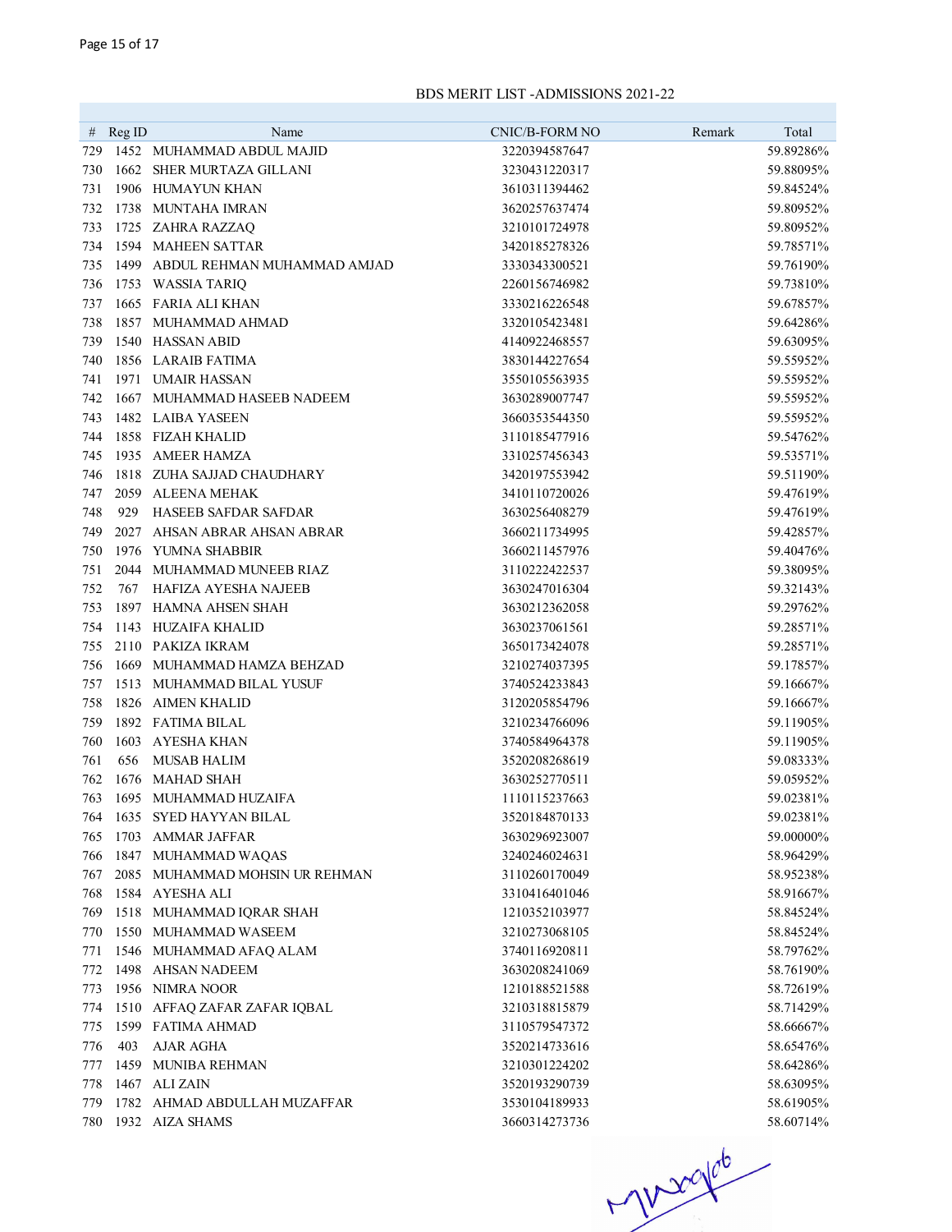|     | # $\text{Reg ID}$ | Name                             | CNIC/B-FORM NO | Remark | Total     |
|-----|-------------------|----------------------------------|----------------|--------|-----------|
| 729 |                   | 1452 MUHAMMAD ABDUL MAJID        | 3220394587647  |        | 59.89286% |
| 730 |                   | 1662 SHER MURTAZA GILLANI        | 3230431220317  |        | 59.88095% |
| 731 |                   | 1906 HUMAYUN KHAN                | 3610311394462  |        | 59.84524% |
| 732 |                   | 1738 MUNTAHA IMRAN               | 3620257637474  |        | 59.80952% |
| 733 |                   | 1725 ZAHRA RAZZAQ                | 3210101724978  |        | 59.80952% |
| 734 |                   | 1594 MAHEEN SATTAR               | 3420185278326  |        | 59.78571% |
| 735 |                   | 1499 ABDUL REHMAN MUHAMMAD AMJAD | 3330343300521  |        | 59.76190% |
| 736 |                   | 1753 WASSIA TARIQ                | 2260156746982  |        | 59.73810% |
| 737 |                   | 1665 FARIA ALI KHAN              | 3330216226548  |        | 59.67857% |
| 738 |                   | 1857 MUHAMMAD AHMAD              | 3320105423481  |        | 59.64286% |
| 739 |                   | 1540 HASSAN ABID                 | 4140922468557  |        | 59.63095% |
| 740 |                   | 1856 LARAIB FATIMA               | 3830144227654  |        | 59.55952% |
| 741 |                   | 1971 UMAIR HASSAN                | 3550105563935  |        | 59.55952% |
| 742 |                   | 1667 MUHAMMAD HASEEB NADEEM      | 3630289007747  |        | 59.55952% |
| 743 |                   | 1482 LAIBA YASEEN                | 3660353544350  |        | 59.55952% |
| 744 |                   | 1858 FIZAH KHALID                | 3110185477916  |        | 59.54762% |
| 745 |                   | 1935 AMEER HAMZA                 | 3310257456343  |        | 59.53571% |
| 746 |                   | 1818 ZUHA SAJJAD CHAUDHARY       | 3420197553942  |        | 59.51190% |
| 747 |                   | 2059 ALEENA MEHAK                | 3410110720026  |        | 59.47619% |
| 748 | 929               | <b>HASEEB SAFDAR SAFDAR</b>      | 3630256408279  |        | 59.47619% |
| 749 |                   | 2027 AHSAN ABRAR AHSAN ABRAR     | 3660211734995  |        | 59.42857% |
| 750 |                   | 1976 YUMNA SHABBIR               | 3660211457976  |        | 59.40476% |
| 751 |                   | 2044 MUHAMMAD MUNEEB RIAZ        | 3110222422537  |        | 59.38095% |
| 752 | 767               | HAFIZA AYESHA NAJEEB             | 3630247016304  |        | 59.32143% |
| 753 |                   | 1897 HAMNA AHSEN SHAH            | 3630212362058  |        | 59.29762% |
| 754 |                   | 1143 HUZAIFA KHALID              | 3630237061561  |        | 59.28571% |
| 755 |                   | 2110 PAKIZA IKRAM                | 3650173424078  |        | 59.28571% |
| 756 |                   | 1669 MUHAMMAD HAMZA BEHZAD       | 3210274037395  |        | 59.17857% |
| 757 |                   | 1513 MUHAMMAD BILAL YUSUF        | 3740524233843  |        | 59.16667% |
| 758 |                   | 1826 AIMEN KHALID                | 3120205854796  |        | 59.16667% |
| 759 |                   | 1892 FATIMA BILAL                | 3210234766096  |        | 59.11905% |
| 760 |                   | 1603 AYESHA KHAN                 | 3740584964378  |        | 59.11905% |
| 761 | 656               | <b>MUSAB HALIM</b>               | 3520208268619  |        | 59.08333% |
| 762 |                   | 1676 MAHAD SHAH                  | 3630252770511  |        | 59.05952% |
| 763 |                   | 1695 MUHAMMAD HUZAIFA            | 1110115237663  |        | 59.02381% |
| 764 |                   | 1635 SYED HAYYAN BILAL           | 3520184870133  |        | 59.02381% |
| 765 |                   | 1703 AMMAR JAFFAR                | 3630296923007  |        | 59.00000% |
| 766 |                   | 1847 MUHAMMAD WAQAS              | 3240246024631  |        | 58.96429% |
| 767 |                   | 2085 MUHAMMAD MOHSIN UR REHMAN   | 3110260170049  |        | 58.95238% |
| 768 |                   | 1584 AYESHA ALI                  | 3310416401046  |        | 58.91667% |
| 769 |                   | 1518 MUHAMMAD IQRAR SHAH         | 1210352103977  |        | 58.84524% |
| 770 |                   | 1550 MUHAMMAD WASEEM             | 3210273068105  |        | 58.84524% |
| 771 |                   | 1546 MUHAMMAD AFAQ ALAM          | 3740116920811  |        | 58.79762% |
| 772 |                   | 1498 AHSAN NADEEM                | 3630208241069  |        | 58.76190% |
| 773 |                   | 1956 NIMRA NOOR                  | 1210188521588  |        | 58.72619% |
| 774 |                   | 1510 AFFAQ ZAFAR ZAFAR IQBAL     | 3210318815879  |        | 58.71429% |
| 775 |                   | 1599 FATIMA AHMAD                | 3110579547372  |        | 58.66667% |
| 776 | 403               | AJAR AGHA                        | 3520214733616  |        | 58.65476% |
| 777 |                   | 1459 MUNIBA REHMAN               | 3210301224202  |        | 58.64286% |
| 778 |                   | 1467 ALI ZAIN                    | 3520193290739  |        | 58.63095% |
| 779 |                   | 1782 AHMAD ABDULLAH MUZAFFAR     | 3530104189933  |        | 58.61905% |
|     |                   | 780 1932 AIZA SHAMS              | 3660314273736  |        | 58.60714% |

 $7000000$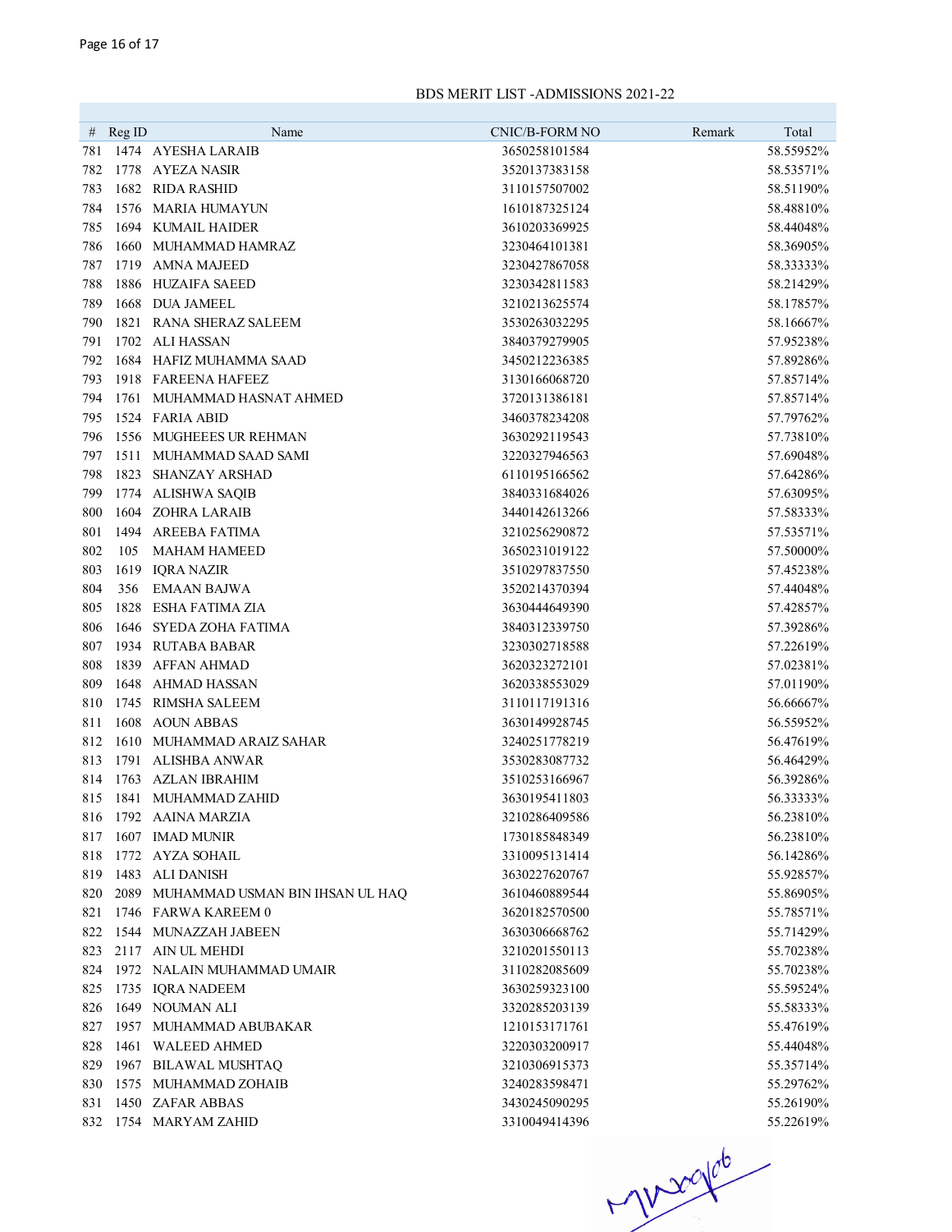| #   | RegID | Name                                 | CNIC/B-FORM NO | Remark | Total                  |
|-----|-------|--------------------------------------|----------------|--------|------------------------|
| 781 |       | 1474 AYESHA LARAIB                   | 3650258101584  |        | 58.55952%              |
| 782 |       | 1778 AYEZA NASIR                     | 3520137383158  |        | 58.53571%              |
| 783 |       | 1682 RIDA RASHID                     | 3110157507002  |        | 58.51190%              |
| 784 |       | 1576 MARIA HUMAYUN                   | 1610187325124  |        | 58.48810%              |
| 785 |       | 1694 KUMAIL HAIDER                   | 3610203369925  |        | 58.44048%              |
| 786 |       | 1660 MUHAMMAD HAMRAZ                 | 3230464101381  |        | 58.36905%              |
| 787 |       | 1719 AMNA MAJEED                     | 3230427867058  |        | 58.33333%              |
| 788 |       | 1886 HUZAIFA SAEED                   | 3230342811583  |        | 58.21429%              |
| 789 | 1668  | <b>DUA JAMEEL</b>                    | 3210213625574  |        | 58.17857%              |
| 790 |       | 1821 RANA SHERAZ SALEEM              | 3530263032295  |        | 58.16667%              |
| 791 |       | 1702 ALI HASSAN                      | 3840379279905  |        | 57.95238%              |
| 792 |       | 1684 HAFIZ MUHAMMA SAAD              | 3450212236385  |        | 57.89286%              |
| 793 |       | 1918 FAREENA HAFEEZ                  | 3130166068720  |        | 57.85714%              |
| 794 |       | 1761 MUHAMMAD HASNAT AHMED           | 3720131386181  |        | 57.85714%              |
| 795 |       | 1524 FARIA ABID                      | 3460378234208  |        | 57.79762%              |
| 796 |       | 1556 MUGHEEES UR REHMAN              | 3630292119543  |        | 57.73810%              |
| 797 |       | 1511 MUHAMMAD SAAD SAMI              | 3220327946563  |        | 57.69048%              |
| 798 | 1823  | <b>SHANZAY ARSHAD</b>                | 6110195166562  |        | 57.64286%              |
| 799 |       | 1774 ALISHWA SAQIB                   | 3840331684026  |        | 57.63095%              |
| 800 |       | 1604 ZOHRA LARAIB                    | 3440142613266  |        | 57.58333%              |
| 801 |       | 1494 AREEBA FATIMA                   | 3210256290872  |        | 57.53571%              |
| 802 | 105   | <b>MAHAM HAMEED</b>                  | 3650231019122  |        | 57.50000%              |
| 803 |       | 1619 IQRA NAZIR                      | 3510297837550  |        | 57.45238%              |
| 804 | 356   | <b>EMAAN BAJWA</b>                   | 3520214370394  |        | 57.44048%              |
| 805 |       | 1828 ESHA FATIMA ZIA                 | 3630444649390  |        | 57.42857%              |
| 806 |       | 1646 SYEDA ZOHA FATIMA               | 3840312339750  |        | 57.39286%              |
| 807 |       | 1934 RUTABA BABAR                    | 3230302718588  |        | 57.22619%              |
| 808 |       | 1839 AFFAN AHMAD                     | 3620323272101  |        | 57.02381%              |
| 809 |       | 1648 AHMAD HASSAN                    | 3620338553029  |        | 57.01190%              |
| 810 |       | 1745 RIMSHA SALEEM                   | 3110117191316  |        | 56.66667%              |
| 811 |       | 1608 AOUN ABBAS                      | 3630149928745  |        | 56.55952%              |
| 812 |       | 1610 MUHAMMAD ARAIZ SAHAR            | 3240251778219  |        | 56.47619%              |
| 813 | 1791  | ALISHBA ANWAR                        | 3530283087732  |        | 56.46429%              |
| 814 | 1763  | AZLAN IBRAHIM                        | 3510253166967  |        | 56.39286%              |
| 815 |       | 1841 MUHAMMAD ZAHID                  | 3630195411803  |        | 56.33333%              |
| 816 |       | 1792 AAINA MARZIA                    | 3210286409586  |        | 56.23810%              |
| 817 |       | 1607 IMAD MUNIR                      | 1730185848349  |        | 56.23810\%             |
| 818 |       | 1772 AYZA SOHAIL                     | 3310095131414  |        | 56.14286%              |
|     |       | 819 1483 ALI DANISH                  | 3630227620767  |        | 55.92857%              |
| 820 |       | 2089 MUHAMMAD USMAN BIN IHSAN UL HAQ | 3610460889544  |        | 55.86905%              |
| 821 |       | 1746 FARWA KAREEM 0                  | 3620182570500  |        | 55.78571%              |
| 822 |       | 1544 MUNAZZAH JABEEN                 | 3630306668762  |        | 55.71429%              |
| 823 |       | 2117 AIN UL MEHDI                    | 3210201550113  |        | 55.70238%              |
| 824 |       | 1972 NALAIN MUHAMMAD UMAIR           | 3110282085609  |        | 55.70238%              |
| 825 |       | 1735 IQRA NADEEM                     | 3630259323100  |        | 55.59524%              |
| 826 |       | 1649 NOUMAN ALI                      | 3320285203139  |        | 55.58333%              |
| 827 |       | 1957 MUHAMMAD ABUBAKAR               | 1210153171761  |        | 55.47619%              |
| 828 |       | 1461 WALEED AHMED                    | 3220303200917  |        | 55.44048%              |
| 829 |       | 1967 BILAWAL MUSHTAQ                 | 3210306915373  |        | 55.35714%              |
| 830 |       | 1575 MUHAMMAD ZOHAIB                 | 3240283598471  |        | 55.29762%              |
|     |       | 831 1450 ZAFAR ABBAS                 | 3430245090295  |        | 55.26190%<br>55.22619% |
|     |       | 832 1754 MARYAM ZAHID                | 3310049414396  |        |                        |

 $M200106$